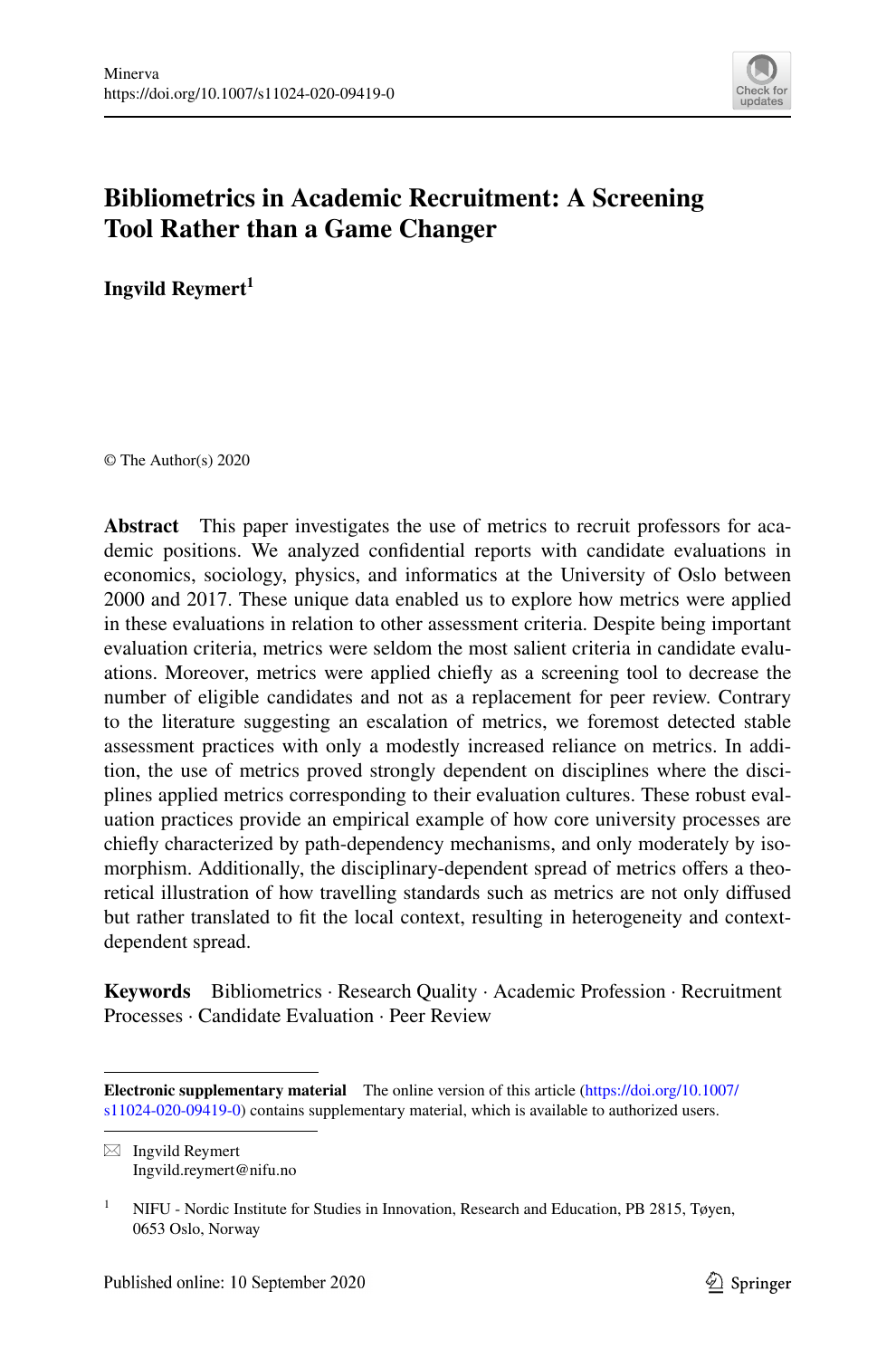

# **Bibliometrics in Academic Recruitment: A Screening Tool Rather than a Game Changer**

**Ingvild Reymert<sup>1</sup>**

© The Author(s) 2020

**Abstract** This paper investigates the use of metrics to recruit professors for academic positions. We analyzed confdential reports with candidate evaluations in economics, sociology, physics, and informatics at the University of Oslo between 2000 and 2017. These unique data enabled us to explore how metrics were applied in these evaluations in relation to other assessment criteria. Despite being important evaluation criteria, metrics were seldom the most salient criteria in candidate evaluations. Moreover, metrics were applied chiefy as a screening tool to decrease the number of eligible candidates and not as a replacement for peer review. Contrary to the literature suggesting an escalation of metrics, we foremost detected stable assessment practices with only a modestly increased reliance on metrics. In addition, the use of metrics proved strongly dependent on disciplines where the disciplines applied metrics corresponding to their evaluation cultures. These robust evaluation practices provide an empirical example of how core university processes are chiefy characterized by path-dependency mechanisms, and only moderately by isomorphism. Additionally, the disciplinary-dependent spread of metrics offers a theoretical illustration of how travelling standards such as metrics are not only difused but rather translated to ft the local context, resulting in heterogeneity and contextdependent spread.

**Keywords** Bibliometrics · Research Quality · Academic Profession · Recruitment Processes · Candidate Evaluation · Peer Review

 $\boxtimes$  Ingvild Reymert Ingvild.reymert@nifu.no

**Electronic supplementary material** The online version of this article [\(https://doi.org/10.1007/](https://doi.org/10.1007/s11024-020-09419-0) [s11024-020-09419-0](https://doi.org/10.1007/s11024-020-09419-0)) contains supplementary material, which is available to authorized users.

<sup>&</sup>lt;sup>1</sup> NIFU - Nordic Institute for Studies in Innovation, Research and Education, PB 2815, Tøyen, 0653 Oslo, Norway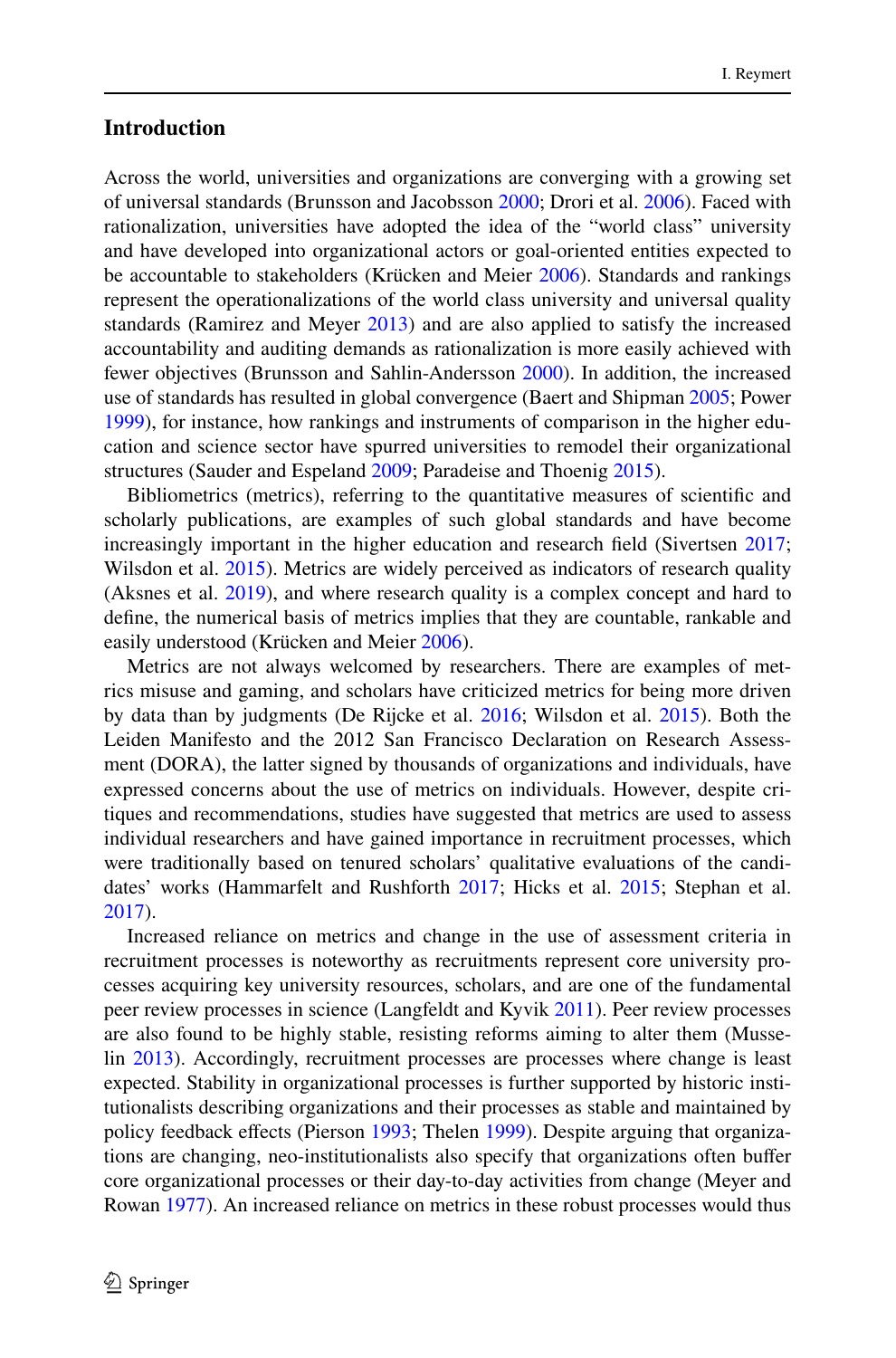### **Introduction**

Across the world, universities and organizations are converging with a growing set of universal standards (Brunsson and Jacobsson [2000;](#page-22-0) Drori et al. [2006\)](#page-23-0). Faced with rationalization, universities have adopted the idea of the "world class" university and have developed into organizational actors or goal-oriented entities expected to be accountable to stakeholders (Krücken and Meier [2006](#page-23-1)). Standards and rankings represent the operationalizations of the world class university and universal quality standards (Ramirez and Meyer [2013](#page-24-0)) and are also applied to satisfy the increased accountability and auditing demands as rationalization is more easily achieved with fewer objectives (Brunsson and Sahlin-Andersson [2000](#page-22-1)). In addition, the increased use of standards has resulted in global convergence (Baert and Shipman [2005](#page-22-2); Power [1999](#page-24-1)), for instance, how rankings and instruments of comparison in the higher education and science sector have spurred universities to remodel their organizational structures (Sauder and Espeland [2009](#page-24-2); Paradeise and Thoenig [2015](#page-24-3)).

Bibliometrics (metrics), referring to the quantitative measures of scientifc and scholarly publications, are examples of such global standards and have become increasingly important in the higher education and research field (Sivertsen [2017;](#page-24-4) Wilsdon et al. [2015\)](#page-25-0). Metrics are widely perceived as indicators of research quality (Aksnes et al. [2019\)](#page-22-3), and where research quality is a complex concept and hard to defne, the numerical basis of metrics implies that they are countable, rankable and easily understood (Krücken and Meier [2006\)](#page-23-1).

Metrics are not always welcomed by researchers. There are examples of metrics misuse and gaming, and scholars have criticized metrics for being more driven by data than by judgments (De Rijcke et al. [2016;](#page-23-2) Wilsdon et al. [2015\)](#page-25-0). Both the Leiden Manifesto and the 2012 San Francisco Declaration on Research Assessment (DORA), the latter signed by thousands of organizations and individuals, have expressed concerns about the use of metrics on individuals. However, despite critiques and recommendations, studies have suggested that metrics are used to assess individual researchers and have gained importance in recruitment processes, which were traditionally based on tenured scholars' qualitative evaluations of the candidates' works (Hammarfelt and Rushforth [2017](#page-23-3); Hicks et al. [2015](#page-23-4); Stephan et al. [2017](#page-24-5)).

Increased reliance on metrics and change in the use of assessment criteria in recruitment processes is noteworthy as recruitments represent core university processes acquiring key university resources, scholars, and are one of the fundamental peer review processes in science (Langfeldt and Kyvik [2011](#page-23-5)). Peer review processes are also found to be highly stable, resisting reforms aiming to alter them (Musselin [2013](#page-24-6)). Accordingly, recruitment processes are processes where change is least expected. Stability in organizational processes is further supported by historic institutionalists describing organizations and their processes as stable and maintained by policy feedback efects (Pierson [1993;](#page-24-7) Thelen [1999\)](#page-25-1). Despite arguing that organizations are changing, neo-institutionalists also specify that organizations often bufer core organizational processes or their day-to-day activities from change (Meyer and Rowan [1977](#page-24-8)). An increased reliance on metrics in these robust processes would thus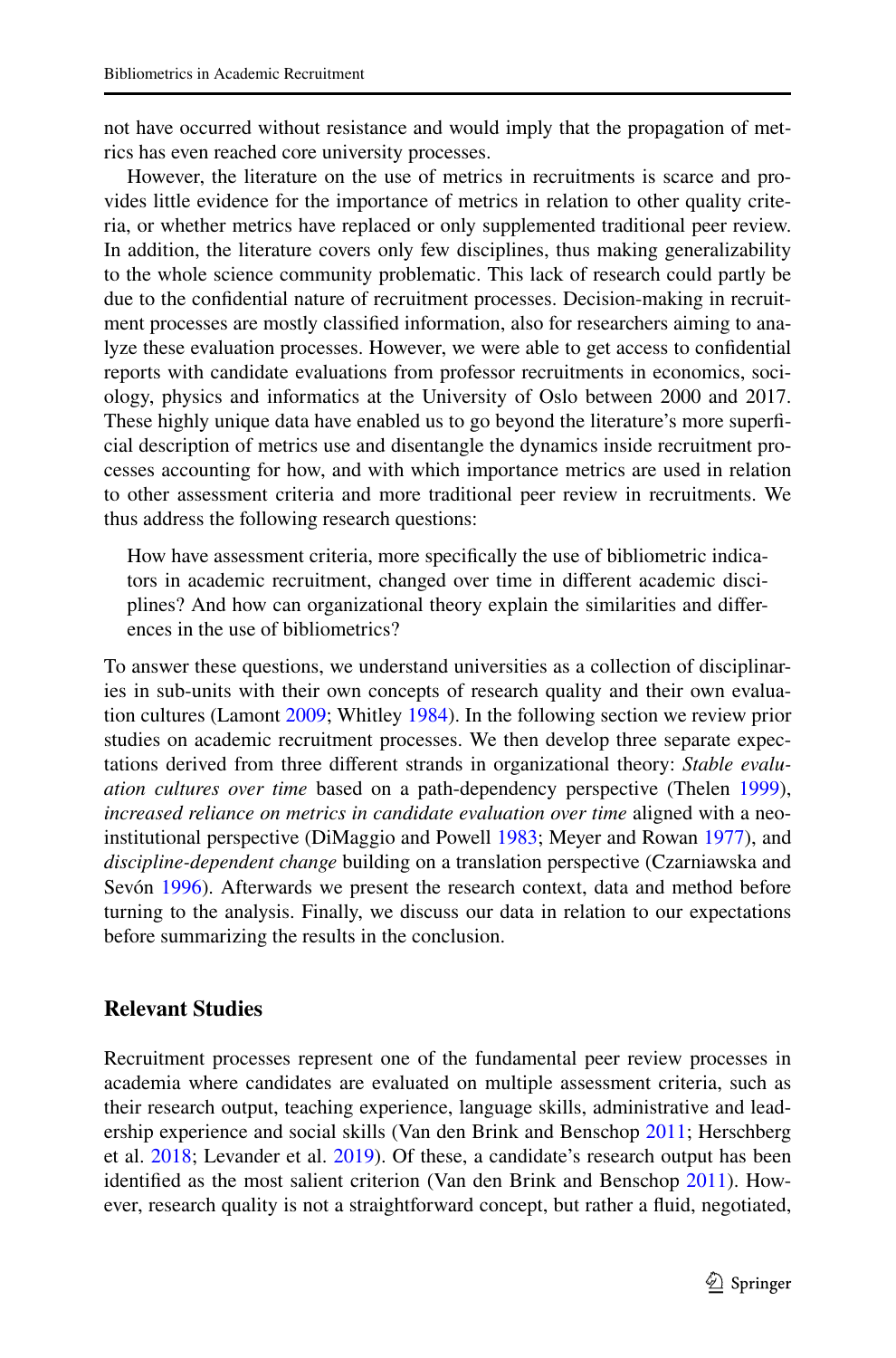not have occurred without resistance and would imply that the propagation of metrics has even reached core university processes.

However, the literature on the use of metrics in recruitments is scarce and provides little evidence for the importance of metrics in relation to other quality criteria, or whether metrics have replaced or only supplemented traditional peer review. In addition, the literature covers only few disciplines, thus making generalizability to the whole science community problematic. This lack of research could partly be due to the confdential nature of recruitment processes. Decision-making in recruitment processes are mostly classifed information, also for researchers aiming to analyze these evaluation processes. However, we were able to get access to confdential reports with candidate evaluations from professor recruitments in economics, sociology, physics and informatics at the University of Oslo between 2000 and 2017. These highly unique data have enabled us to go beyond the literature's more superfcial description of metrics use and disentangle the dynamics inside recruitment processes accounting for how, and with which importance metrics are used in relation to other assessment criteria and more traditional peer review in recruitments. We thus address the following research questions:

How have assessment criteria, more specifcally the use of bibliometric indicators in academic recruitment, changed over time in diferent academic disciplines? And how can organizational theory explain the similarities and diferences in the use of bibliometrics?

To answer these questions, we understand universities as a collection of disciplinaries in sub-units with their own concepts of research quality and their own evaluation cultures (Lamont [2009](#page-23-6); Whitley [1984\)](#page-25-2). In the following section we review prior studies on academic recruitment processes. We then develop three separate expectations derived from three diferent strands in organizational theory: *Stable evaluation cultures over time* based on a path-dependency perspective (Thelen [1999\)](#page-25-1), *increased reliance on metrics in candidate evaluation over time* aligned with a neoinstitutional perspective (DiMaggio and Powell [1983;](#page-23-7) Meyer and Rowan [1977](#page-24-8)), and *discipline-dependent change* building on a translation perspective (Czarniawska and Sevón [1996](#page-23-8)). Afterwards we present the research context, data and method before turning to the analysis. Finally, we discuss our data in relation to our expectations before summarizing the results in the conclusion.

# **Relevant Studies**

Recruitment processes represent one of the fundamental peer review processes in academia where candidates are evaluated on multiple assessment criteria, such as their research output, teaching experience, language skills, administrative and leadership experience and social skills (Van den Brink and Benschop [2011;](#page-25-3) Herschberg et al. [2018](#page-23-9); Levander et al. [2019\)](#page-24-9). Of these, a candidate's research output has been identifed as the most salient criterion (Van den Brink and Benschop [2011\)](#page-25-3). However, research quality is not a straightforward concept, but rather a fuid, negotiated,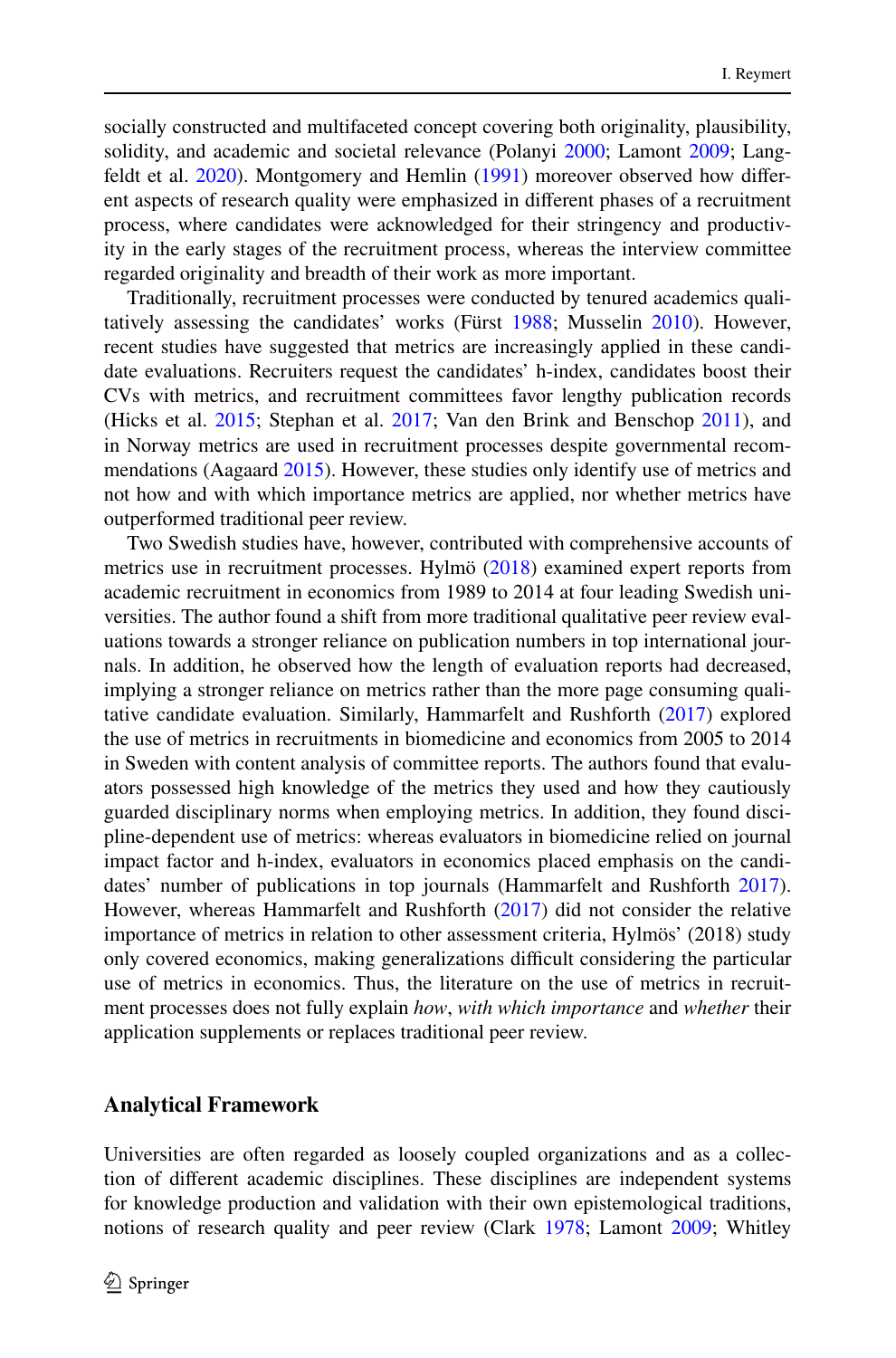socially constructed and multifaceted concept covering both originality, plausibility, solidity, and academic and societal relevance (Polanyi [2000;](#page-24-10) Lamont [2009](#page-23-6); Langfeldt et al. [2020](#page-24-11)). Montgomery and Hemlin ([1991\)](#page-24-12) moreover observed how diferent aspects of research quality were emphasized in diferent phases of a recruitment process, where candidates were acknowledged for their stringency and productivity in the early stages of the recruitment process, whereas the interview committee regarded originality and breadth of their work as more important.

Traditionally, recruitment processes were conducted by tenured academics qualitatively assessing the candidates' works (Fürst [1988](#page-23-10); Musselin [2010\)](#page-24-13). However, recent studies have suggested that metrics are increasingly applied in these candidate evaluations. Recruiters request the candidates' h-index, candidates boost their CVs with metrics, and recruitment committees favor lengthy publication records (Hicks et al. [2015;](#page-23-4) Stephan et al. [2017](#page-24-5); Van den Brink and Benschop [2011](#page-25-3)), and in Norway metrics are used in recruitment processes despite governmental recommendations (Aagaard [2015](#page-22-4)). However, these studies only identify use of metrics and not how and with which importance metrics are applied, nor whether metrics have outperformed traditional peer review.

Two Swedish studies have, however, contributed with comprehensive accounts of metrics use in recruitment processes. Hylmö [\(2018](#page-23-11)) examined expert reports from academic recruitment in economics from 1989 to 2014 at four leading Swedish universities. The author found a shift from more traditional qualitative peer review evaluations towards a stronger reliance on publication numbers in top international journals. In addition, he observed how the length of evaluation reports had decreased, implying a stronger reliance on metrics rather than the more page consuming qualitative candidate evaluation. Similarly, Hammarfelt and Rushforth [\(2017](#page-23-3)) explored the use of metrics in recruitments in biomedicine and economics from 2005 to 2014 in Sweden with content analysis of committee reports. The authors found that evaluators possessed high knowledge of the metrics they used and how they cautiously guarded disciplinary norms when employing metrics. In addition, they found discipline-dependent use of metrics: whereas evaluators in biomedicine relied on journal impact factor and h-index, evaluators in economics placed emphasis on the candidates' number of publications in top journals (Hammarfelt and Rushforth [2017\)](#page-23-3). However, whereas Hammarfelt and Rushforth ([2017\)](#page-23-3) did not consider the relative importance of metrics in relation to other assessment criteria, Hylmös' (2018) study only covered economics, making generalizations difcult considering the particular use of metrics in economics. Thus, the literature on the use of metrics in recruitment processes does not fully explain *how*, *with which importance* and *whether* their application supplements or replaces traditional peer review.

### **Analytical Framework**

Universities are often regarded as loosely coupled organizations and as a collection of diferent academic disciplines. These disciplines are independent systems for knowledge production and validation with their own epistemological traditions, notions of research quality and peer review (Clark [1978](#page-23-12); Lamont [2009](#page-23-6); Whitley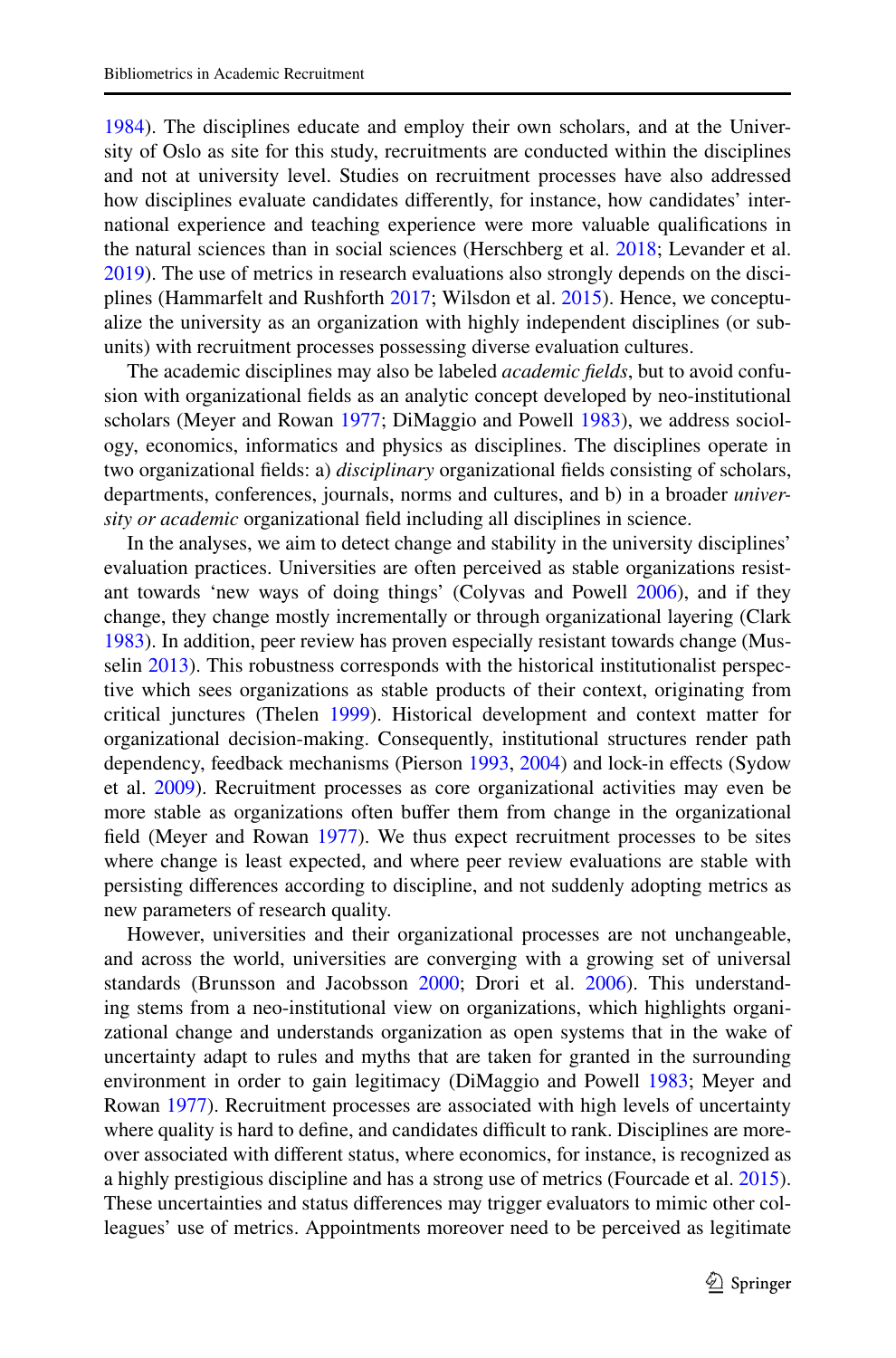[1984](#page-25-2)). The disciplines educate and employ their own scholars, and at the University of Oslo as site for this study, recruitments are conducted within the disciplines and not at university level. Studies on recruitment processes have also addressed how disciplines evaluate candidates diferently, for instance, how candidates' international experience and teaching experience were more valuable qualifcations in the natural sciences than in social sciences (Herschberg et al. [2018](#page-23-9); Levander et al. [2019](#page-24-9)). The use of metrics in research evaluations also strongly depends on the disci-plines (Hammarfelt and Rushforth [2017](#page-23-3); Wilsdon et al. [2015\)](#page-25-0). Hence, we conceptualize the university as an organization with highly independent disciplines (or subunits) with recruitment processes possessing diverse evaluation cultures.

The academic disciplines may also be labeled *academic felds*, but to avoid confusion with organizational felds as an analytic concept developed by neo-institutional scholars (Meyer and Rowan [1977;](#page-24-8) DiMaggio and Powell [1983\)](#page-23-7), we address sociology, economics, informatics and physics as disciplines. The disciplines operate in two organizational felds: a) *disciplinary* organizational felds consisting of scholars, departments, conferences, journals, norms and cultures, and b) in a broader *university or academic* organizational feld including all disciplines in science.

In the analyses, we aim to detect change and stability in the university disciplines' evaluation practices. Universities are often perceived as stable organizations resistant towards 'new ways of doing things' (Colyvas and Powell [2006](#page-23-13)), and if they change, they change mostly incrementally or through organizational layering (Clark [1983](#page-23-14)). In addition, peer review has proven especially resistant towards change (Musselin [2013\)](#page-24-6). This robustness corresponds with the historical institutionalist perspective which sees organizations as stable products of their context, originating from critical junctures (Thelen [1999\)](#page-25-1). Historical development and context matter for organizational decision-making. Consequently, institutional structures render path dependency, feedback mechanisms (Pierson [1993,](#page-24-7) [2004](#page-24-14)) and lock-in effects (Sydow et al. [2009\)](#page-25-4). Recruitment processes as core organizational activities may even be more stable as organizations often buffer them from change in the organizational feld (Meyer and Rowan [1977\)](#page-24-8). We thus expect recruitment processes to be sites where change is least expected, and where peer review evaluations are stable with persisting diferences according to discipline, and not suddenly adopting metrics as new parameters of research quality.

However, universities and their organizational processes are not unchangeable, and across the world, universities are converging with a growing set of universal standards (Brunsson and Jacobsson [2000](#page-22-0); Drori et al. [2006](#page-23-0)). This understanding stems from a neo-institutional view on organizations, which highlights organizational change and understands organization as open systems that in the wake of uncertainty adapt to rules and myths that are taken for granted in the surrounding environment in order to gain legitimacy (DiMaggio and Powell [1983;](#page-23-7) Meyer and Rowan [1977\)](#page-24-8). Recruitment processes are associated with high levels of uncertainty where quality is hard to define, and candidates difficult to rank. Disciplines are moreover associated with diferent status, where economics, for instance, is recognized as a highly prestigious discipline and has a strong use of metrics (Fourcade et al. [2015\)](#page-23-15). These uncertainties and status diferences may trigger evaluators to mimic other colleagues' use of metrics. Appointments moreover need to be perceived as legitimate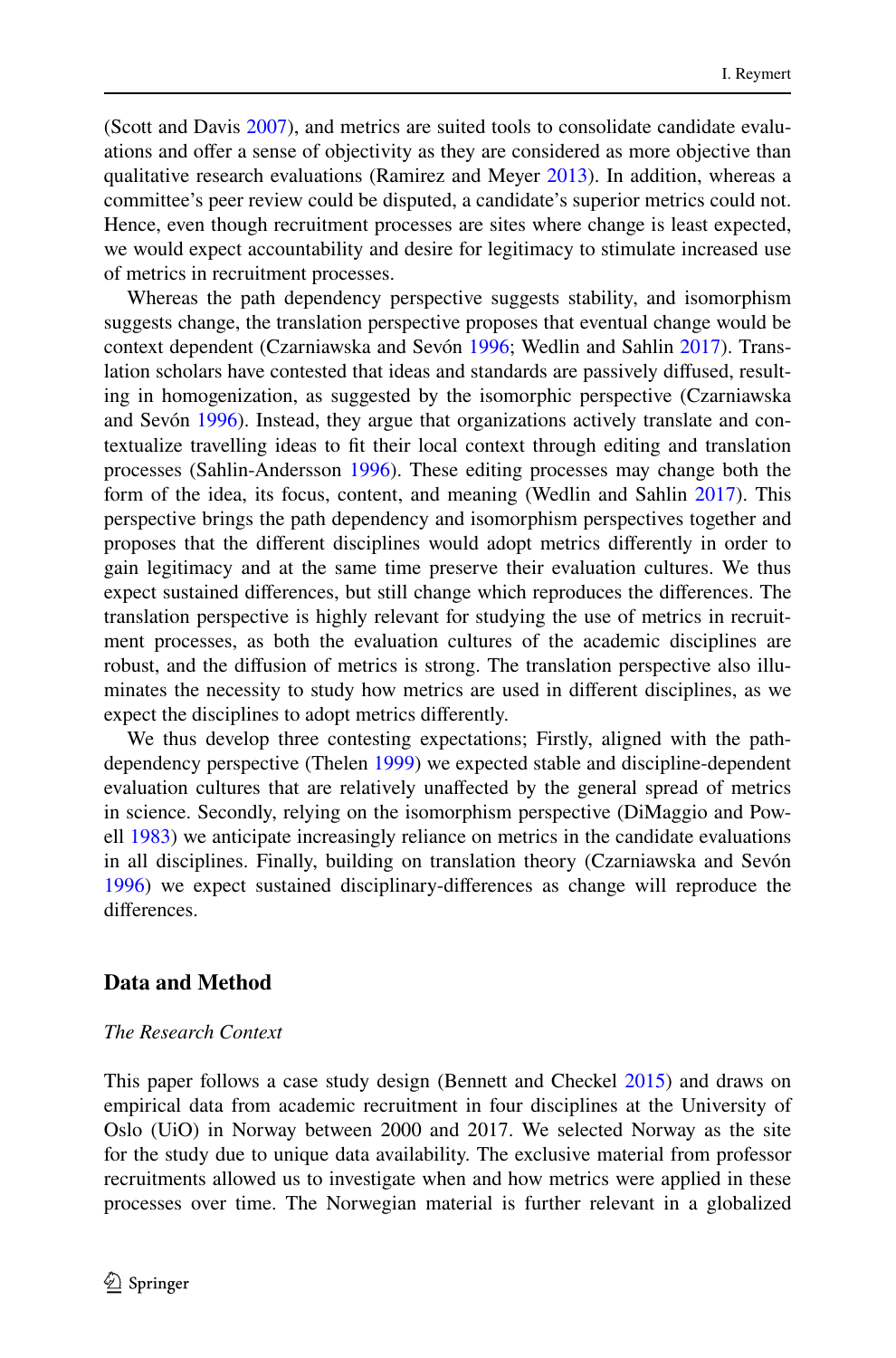(Scott and Davis [2007\)](#page-24-15), and metrics are suited tools to consolidate candidate evaluations and ofer a sense of objectivity as they are considered as more objective than qualitative research evaluations (Ramirez and Meyer [2013](#page-24-0)). In addition, whereas a committee's peer review could be disputed, a candidate's superior metrics could not. Hence, even though recruitment processes are sites where change is least expected, we would expect accountability and desire for legitimacy to stimulate increased use of metrics in recruitment processes.

Whereas the path dependency perspective suggests stability, and isomorphism suggests change, the translation perspective proposes that eventual change would be context dependent (Czarniawska and Sevón [1996](#page-23-8); Wedlin and Sahlin [2017\)](#page-25-5). Translation scholars have contested that ideas and standards are passively difused, resulting in homogenization, as suggested by the isomorphic perspective (Czarniawska and Sevón [1996\)](#page-23-8). Instead, they argue that organizations actively translate and contextualize travelling ideas to ft their local context through editing and translation processes (Sahlin-Andersson [1996](#page-24-16)). These editing processes may change both the form of the idea, its focus, content, and meaning (Wedlin and Sahlin [2017](#page-25-5)). This perspective brings the path dependency and isomorphism perspectives together and proposes that the diferent disciplines would adopt metrics diferently in order to gain legitimacy and at the same time preserve their evaluation cultures. We thus expect sustained diferences, but still change which reproduces the diferences. The translation perspective is highly relevant for studying the use of metrics in recruitment processes, as both the evaluation cultures of the academic disciplines are robust, and the difusion of metrics is strong. The translation perspective also illuminates the necessity to study how metrics are used in diferent disciplines, as we expect the disciplines to adopt metrics diferently.

We thus develop three contesting expectations; Firstly, aligned with the pathdependency perspective (Thelen [1999](#page-25-1)) we expected stable and discipline-dependent evaluation cultures that are relatively unafected by the general spread of metrics in science. Secondly, relying on the isomorphism perspective (DiMaggio and Powell [1983\)](#page-23-7) we anticipate increasingly reliance on metrics in the candidate evaluations in all disciplines. Finally, building on translation theory (Czarniawska and Sevón [1996](#page-23-8)) we expect sustained disciplinary-diferences as change will reproduce the diferences.

#### **Data and Method**

#### *The Research Context*

This paper follows a case study design (Bennett and Checkel [2015\)](#page-22-5) and draws on empirical data from academic recruitment in four disciplines at the University of Oslo (UiO) in Norway between 2000 and 2017. We selected Norway as the site for the study due to unique data availability. The exclusive material from professor recruitments allowed us to investigate when and how metrics were applied in these processes over time. The Norwegian material is further relevant in a globalized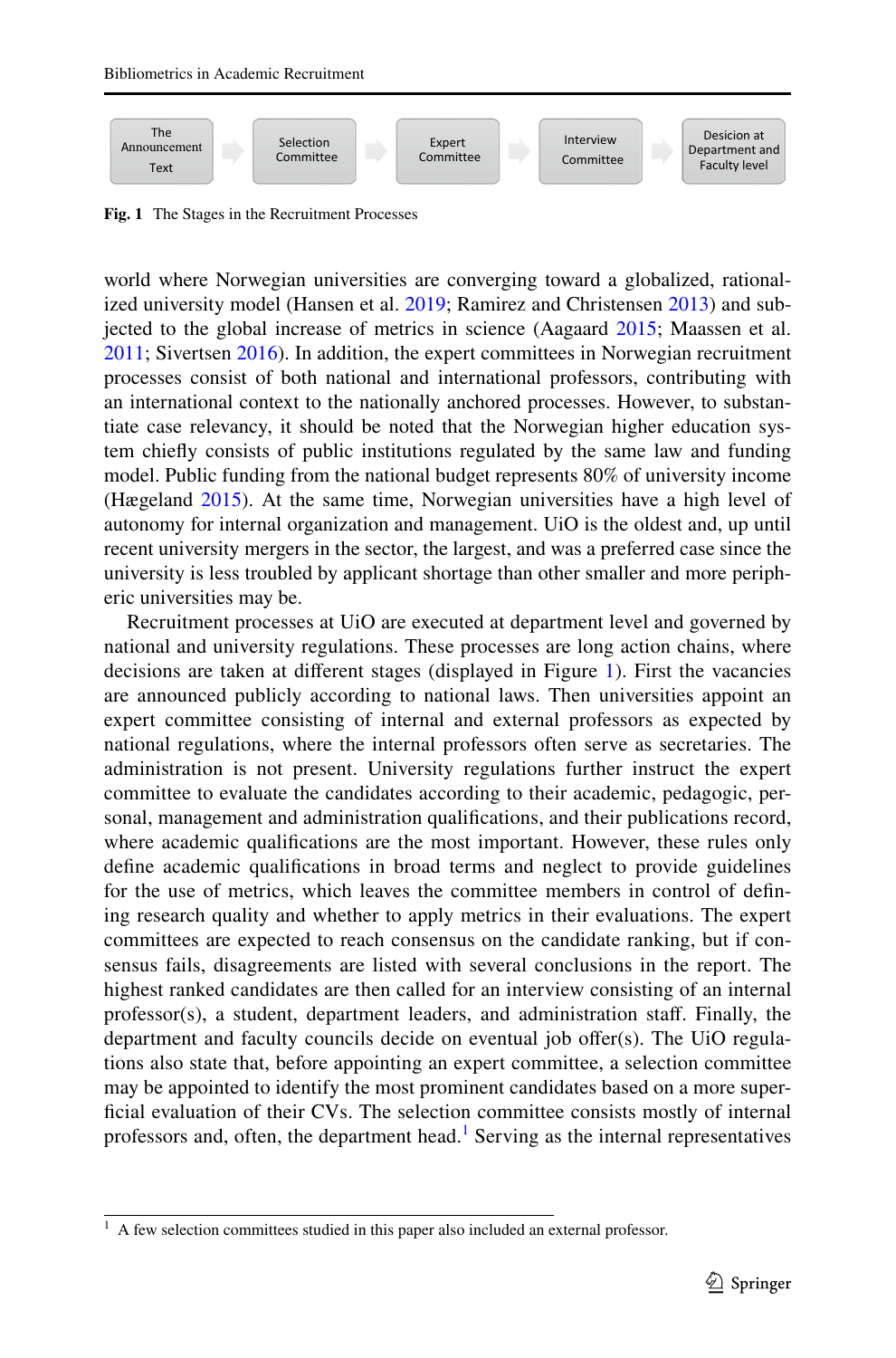

<span id="page-6-0"></span>**Fig. 1** The Stages in the Recruitment Processes

world where Norwegian universities are converging toward a globalized, rationalized university model (Hansen et al. [2019;](#page-23-16) Ramirez and Christensen [2013\)](#page-24-17) and subjected to the global increase of metrics in science (Aagaard [2015](#page-22-4); Maassen et al. [2011](#page-24-18); Sivertsen [2016](#page-24-19)). In addition, the expert committees in Norwegian recruitment processes consist of both national and international professors, contributing with an international context to the nationally anchored processes. However, to substantiate case relevancy, it should be noted that the Norwegian higher education system chiefy consists of public institutions regulated by the same law and funding model. Public funding from the national budget represents 80% of university income (Hægeland [2015\)](#page-23-17). At the same time, Norwegian universities have a high level of autonomy for internal organization and management. UiO is the oldest and, up until recent university mergers in the sector, the largest, and was a preferred case since the university is less troubled by applicant shortage than other smaller and more peripheric universities may be.

Recruitment processes at UiO are executed at department level and governed by national and university regulations. These processes are long action chains, where decisions are taken at diferent stages (displayed in Figure [1\)](#page-6-0). First the vacancies are announced publicly according to national laws. Then universities appoint an expert committee consisting of internal and external professors as expected by national regulations, where the internal professors often serve as secretaries. The administration is not present. University regulations further instruct the expert committee to evaluate the candidates according to their academic, pedagogic, personal, management and administration qualifcations, and their publications record, where academic qualifcations are the most important. However, these rules only defne academic qualifcations in broad terms and neglect to provide guidelines for the use of metrics, which leaves the committee members in control of defning research quality and whether to apply metrics in their evaluations. The expert committees are expected to reach consensus on the candidate ranking, but if consensus fails, disagreements are listed with several conclusions in the report. The highest ranked candidates are then called for an interview consisting of an internal professor(s), a student, department leaders, and administration staf. Finally, the department and faculty councils decide on eventual job offer(s). The UiO regulations also state that, before appointing an expert committee, a selection committee may be appointed to identify the most prominent candidates based on a more superficial evaluation of their CVs. The selection committee consists mostly of internal professors and, often, the department head.<sup>[1](#page-6-1)</sup> Serving as the internal representatives

<span id="page-6-1"></span> $<sup>1</sup>$  A few selection committees studied in this paper also included an external professor.</sup>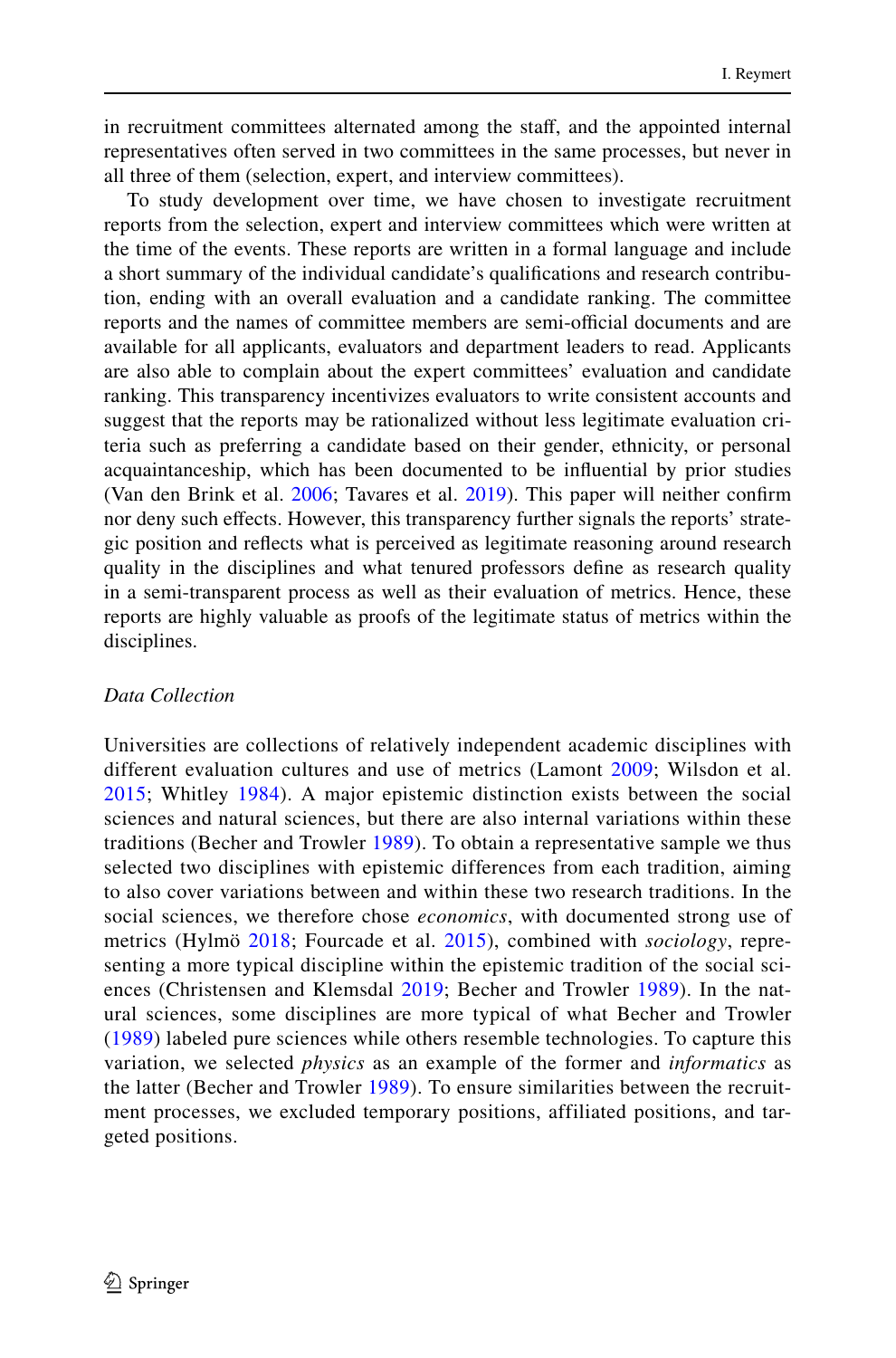in recruitment committees alternated among the staf, and the appointed internal representatives often served in two committees in the same processes, but never in all three of them (selection, expert, and interview committees).

To study development over time, we have chosen to investigate recruitment reports from the selection, expert and interview committees which were written at the time of the events. These reports are written in a formal language and include a short summary of the individual candidate's qualifcations and research contribution, ending with an overall evaluation and a candidate ranking. The committee reports and the names of committee members are semi-official documents and are available for all applicants, evaluators and department leaders to read. Applicants are also able to complain about the expert committees' evaluation and candidate ranking. This transparency incentivizes evaluators to write consistent accounts and suggest that the reports may be rationalized without less legitimate evaluation criteria such as preferring a candidate based on their gender, ethnicity, or personal acquaintanceship, which has been documented to be infuential by prior studies (Van den Brink et al. [2006](#page-25-6); Tavares et al. [2019\)](#page-25-7). This paper will neither confrm nor deny such efects. However, this transparency further signals the reports' strategic position and refects what is perceived as legitimate reasoning around research quality in the disciplines and what tenured professors defne as research quality in a semi-transparent process as well as their evaluation of metrics. Hence, these reports are highly valuable as proofs of the legitimate status of metrics within the disciplines.

#### *Data Collection*

Universities are collections of relatively independent academic disciplines with different evaluation cultures and use of metrics (Lamont [2009;](#page-23-6) Wilsdon et al. [2015;](#page-25-0) Whitley [1984](#page-25-2)). A major epistemic distinction exists between the social sciences and natural sciences, but there are also internal variations within these traditions (Becher and Trowler [1989](#page-22-6)). To obtain a representative sample we thus selected two disciplines with epistemic differences from each tradition, aiming to also cover variations between and within these two research traditions. In the social sciences, we therefore chose *economics*, with documented strong use of metrics (Hylmö [2018;](#page-23-11) Fourcade et al. [2015\)](#page-23-15), combined with *sociology*, representing a more typical discipline within the epistemic tradition of the social sciences (Christensen and Klemsdal [2019;](#page-22-7) Becher and Trowler [1989](#page-22-6)). In the natural sciences, some disciplines are more typical of what Becher and Trowler ([1989](#page-22-6)) labeled pure sciences while others resemble technologies. To capture this variation, we selected *physics* as an example of the former and *informatics* as the latter (Becher and Trowler [1989](#page-22-6)). To ensure similarities between the recruitment processes, we excluded temporary positions, affiliated positions, and targeted positions.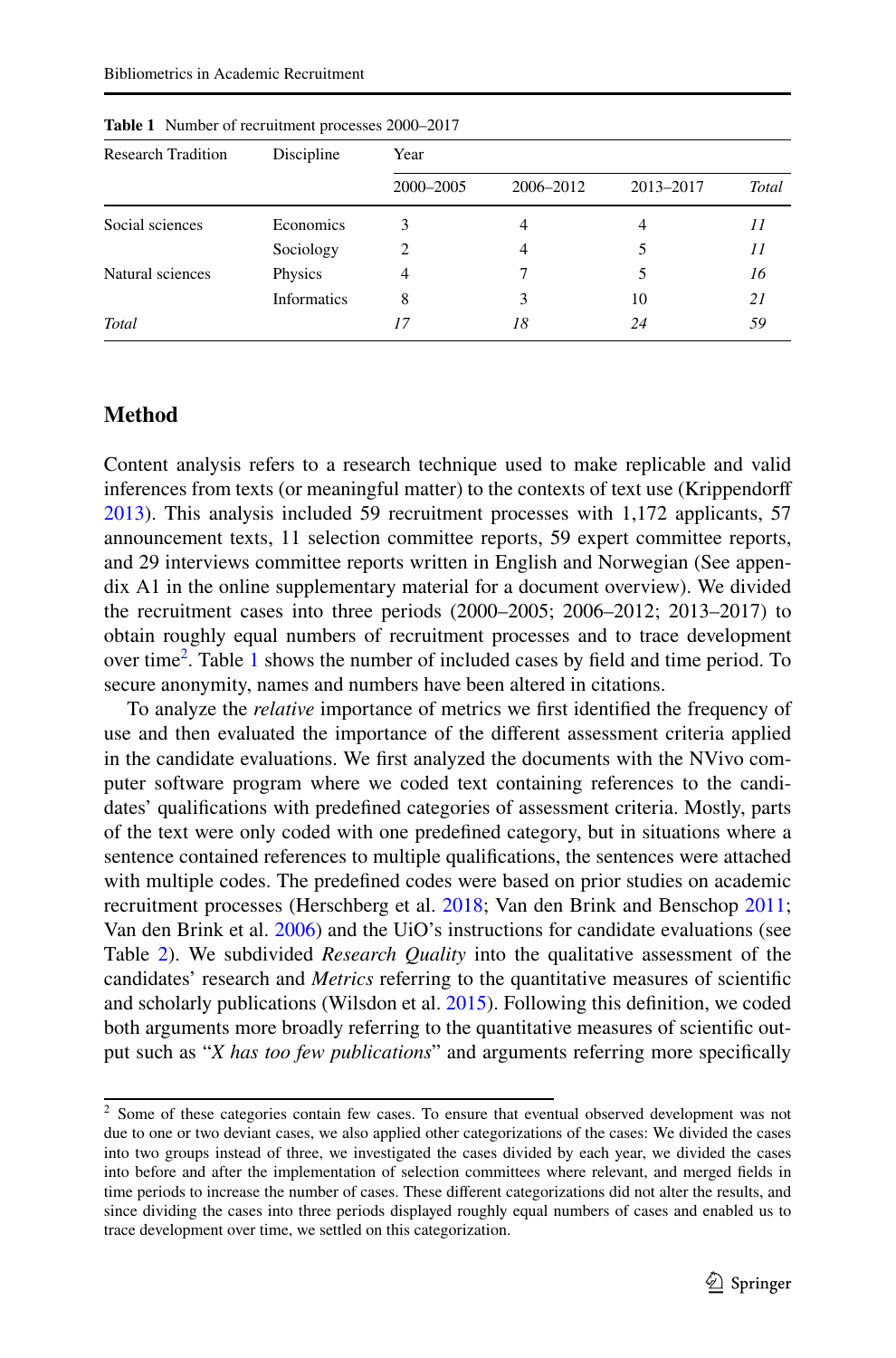| <b>Research Tradition</b> | Discipline  | Year      |           |           |                |
|---------------------------|-------------|-----------|-----------|-----------|----------------|
|                           |             | 2000-2005 | 2006-2012 | 2013-2017 | Total          |
| Social sciences           | Economics   | 3         |           | 4         | $\prime\prime$ |
|                           | Sociology   | 2         | 4         | 5         | 11             |
| Natural sciences          | Physics     | 4         |           |           | 16             |
|                           | Informatics | 8         |           | 10        | 21             |
| Total                     |             | 17        | 18        | 24        | 59             |

<span id="page-8-1"></span>**Table 1** Number of recruitment processes 2000–2017

# **Method**

Content analysis refers to a research technique used to make replicable and valid inferences from texts (or meaningful matter) to the contexts of text use (Krippendorf [2013](#page-23-18)). This analysis included 59 recruitment processes with 1,172 applicants, 57 announcement texts, 11 selection committee reports, 59 expert committee reports, and 29 interviews committee reports written in English and Norwegian (See appendix A1 in the online supplementary material for a document overview). We divided the recruitment cases into three periods (2000–2005; 2006–2012; 2013–2017) to obtain roughly equal numbers of recruitment processes and to trace development over time<sup>[2](#page-8-0)</sup>. Table [1](#page-8-1) shows the number of included cases by field and time period. To secure anonymity, names and numbers have been altered in citations.

To analyze the *relative* importance of metrics we frst identifed the frequency of use and then evaluated the importance of the diferent assessment criteria applied in the candidate evaluations. We frst analyzed the documents with the NVivo computer software program where we coded text containing references to the candidates' qualifcations with predefned categories of assessment criteria. Mostly, parts of the text were only coded with one predefned category, but in situations where a sentence contained references to multiple qualifcations, the sentences were attached with multiple codes. The predefned codes were based on prior studies on academic recruitment processes (Herschberg et al. [2018](#page-23-9); Van den Brink and Benschop [2011;](#page-25-3) Van den Brink et al. [2006\)](#page-25-6) and the UiO's instructions for candidate evaluations (see Table [2\)](#page-9-0). We subdivided *Research Quality* into the qualitative assessment of the candidates' research and *Metrics* referring to the quantitative measures of scientifc and scholarly publications (Wilsdon et al. [2015\)](#page-25-0). Following this defnition, we coded both arguments more broadly referring to the quantitative measures of scientifc output such as "*X has too few publications*" and arguments referring more specifcally

<span id="page-8-0"></span><sup>&</sup>lt;sup>2</sup> Some of these categories contain few cases. To ensure that eventual observed development was not due to one or two deviant cases, we also applied other categorizations of the cases: We divided the cases into two groups instead of three, we investigated the cases divided by each year, we divided the cases into before and after the implementation of selection committees where relevant, and merged felds in time periods to increase the number of cases. These diferent categorizations did not alter the results, and since dividing the cases into three periods displayed roughly equal numbers of cases and enabled us to trace development over time, we settled on this categorization.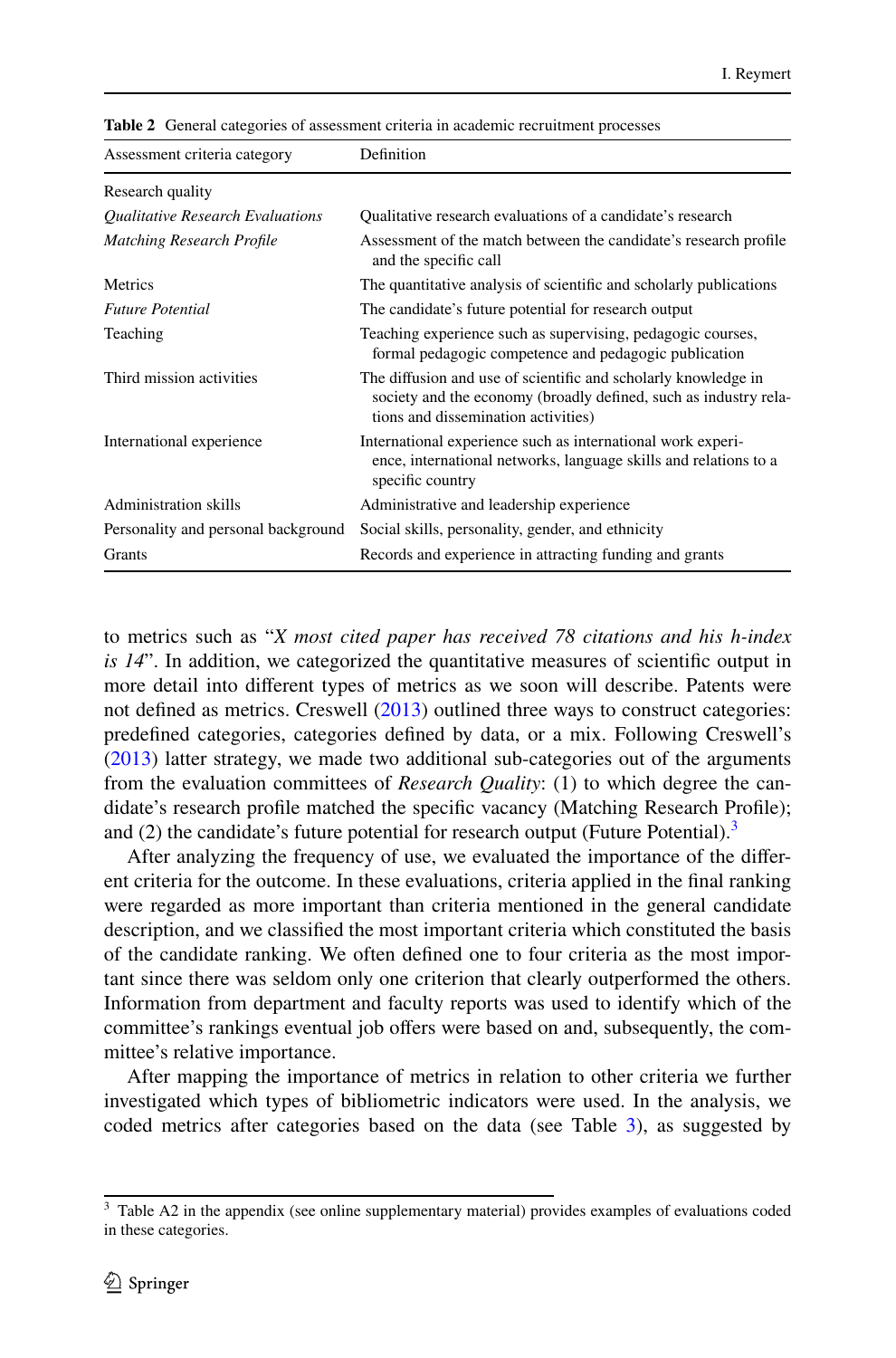| Assessment criteria category        | Definition                                                                                                                                                                |
|-------------------------------------|---------------------------------------------------------------------------------------------------------------------------------------------------------------------------|
| Research quality                    |                                                                                                                                                                           |
| Qualitative Research Evaluations    | Qualitative research evaluations of a candidate's research                                                                                                                |
| <b>Matching Research Profile</b>    | Assessment of the match between the candidate's research profile<br>and the specific call                                                                                 |
| Metrics                             | The quantitative analysis of scientific and scholarly publications                                                                                                        |
| <b>Future Potential</b>             | The candidate's future potential for research output                                                                                                                      |
| Teaching                            | Teaching experience such as supervising, pedagogic courses,<br>formal pedagogic competence and pedagogic publication                                                      |
| Third mission activities            | The diffusion and use of scientific and scholarly knowledge in<br>society and the economy (broadly defined, such as industry rela-<br>tions and dissemination activities) |
| International experience            | International experience such as international work experi-<br>ence, international networks, language skills and relations to a<br>specific country                       |
| Administration skills               | Administrative and leadership experience                                                                                                                                  |
| Personality and personal background | Social skills, personality, gender, and ethnicity                                                                                                                         |
| Grants                              | Records and experience in attracting funding and grants                                                                                                                   |

<span id="page-9-0"></span>**Table 2** General categories of assessment criteria in academic recruitment processes

to metrics such as "*X most cited paper has received 78 citations and his h-index is 14*". In addition, we categorized the quantitative measures of scientific output in more detail into diferent types of metrics as we soon will describe. Patents were not defined as metrics. Creswell ([2013\)](#page-23-19) outlined three ways to construct categories: predefned categories, categories defned by data, or a mix. Following Creswell's [\(2013](#page-23-19)) latter strategy, we made two additional sub-categories out of the arguments from the evaluation committees of *Research Quality*: (1) to which degree the candidate's research profle matched the specifc vacancy (Matching Research Profle); and (2) the candidate's future potential for research output (Future Potential).<sup>[3](#page-9-1)</sup>

After analyzing the frequency of use, we evaluated the importance of the diferent criteria for the outcome. In these evaluations, criteria applied in the fnal ranking were regarded as more important than criteria mentioned in the general candidate description, and we classifed the most important criteria which constituted the basis of the candidate ranking. We often defned one to four criteria as the most important since there was seldom only one criterion that clearly outperformed the others. Information from department and faculty reports was used to identify which of the committee's rankings eventual job ofers were based on and, subsequently, the committee's relative importance.

After mapping the importance of metrics in relation to other criteria we further investigated which types of bibliometric indicators were used. In the analysis, we coded metrics after categories based on the data (see Table [3](#page-10-0)), as suggested by

<span id="page-9-1"></span><sup>&</sup>lt;sup>3</sup> Table A2 in the appendix (see online supplementary material) provides examples of evaluations coded in these categories.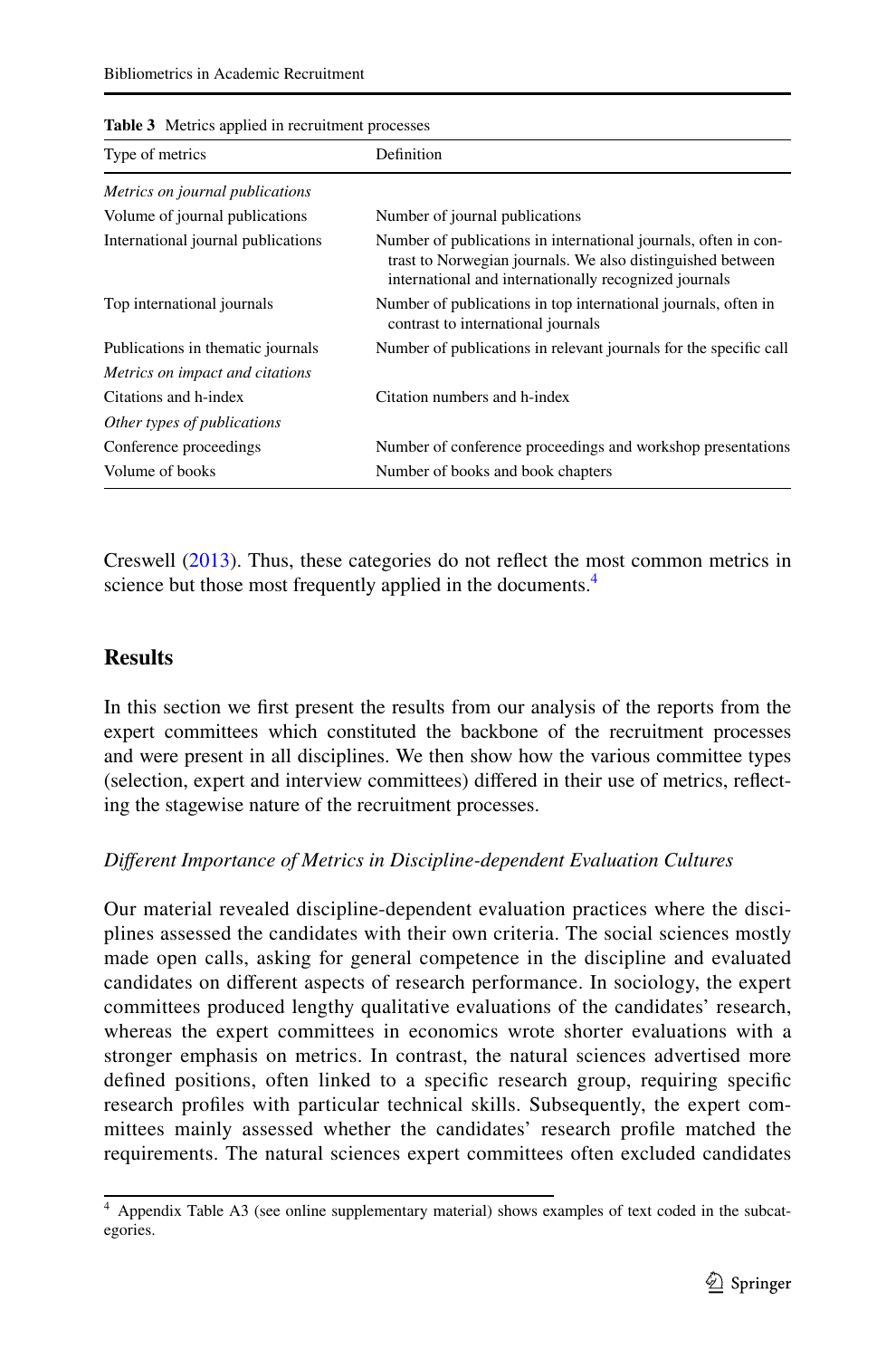| <b>rapic</b> of <i>incures</i> applied in recruitment processes | Definition                                                                                                                                                                             |
|-----------------------------------------------------------------|----------------------------------------------------------------------------------------------------------------------------------------------------------------------------------------|
| Type of metrics                                                 |                                                                                                                                                                                        |
| Metrics on journal publications                                 |                                                                                                                                                                                        |
| Volume of journal publications                                  | Number of journal publications                                                                                                                                                         |
| International journal publications                              | Number of publications in international journals, often in con-<br>trast to Norwegian journals. We also distinguished between<br>international and internationally recognized journals |
| Top international journals                                      | Number of publications in top international journals, often in<br>contrast to international journals                                                                                   |
| Publications in thematic journals                               | Number of publications in relevant journals for the specific call                                                                                                                      |
| Metrics on impact and citations                                 |                                                                                                                                                                                        |
| Citations and h-index                                           | Citation numbers and h-index                                                                                                                                                           |
| Other types of publications                                     |                                                                                                                                                                                        |
| Conference proceedings                                          | Number of conference proceedings and workshop presentations                                                                                                                            |
| Volume of books                                                 | Number of books and book chapters                                                                                                                                                      |

<span id="page-10-0"></span>**Table 3** Metrics applied in recruitment processes

Creswell ([2013\)](#page-23-19). Thus, these categories do not refect the most common metrics in science but those most frequently applied in the documents.<sup>[4](#page-10-1)</sup>

# **Results**

In this section we frst present the results from our analysis of the reports from the expert committees which constituted the backbone of the recruitment processes and were present in all disciplines. We then show how the various committee types (selection, expert and interview committees) difered in their use of metrics, refecting the stagewise nature of the recruitment processes.

# *Diferent Importance of Metrics in Discipline-dependent Evaluation Cultures*

Our material revealed discipline-dependent evaluation practices where the disciplines assessed the candidates with their own criteria. The social sciences mostly made open calls, asking for general competence in the discipline and evaluated candidates on diferent aspects of research performance. In sociology, the expert committees produced lengthy qualitative evaluations of the candidates' research, whereas the expert committees in economics wrote shorter evaluations with a stronger emphasis on metrics. In contrast, the natural sciences advertised more defned positions, often linked to a specifc research group, requiring specifc research profles with particular technical skills. Subsequently, the expert committees mainly assessed whether the candidates' research profle matched the requirements. The natural sciences expert committees often excluded candidates

<span id="page-10-1"></span><sup>4</sup> Appendix Table A3 (see online supplementary material) shows examples of text coded in the subcategories.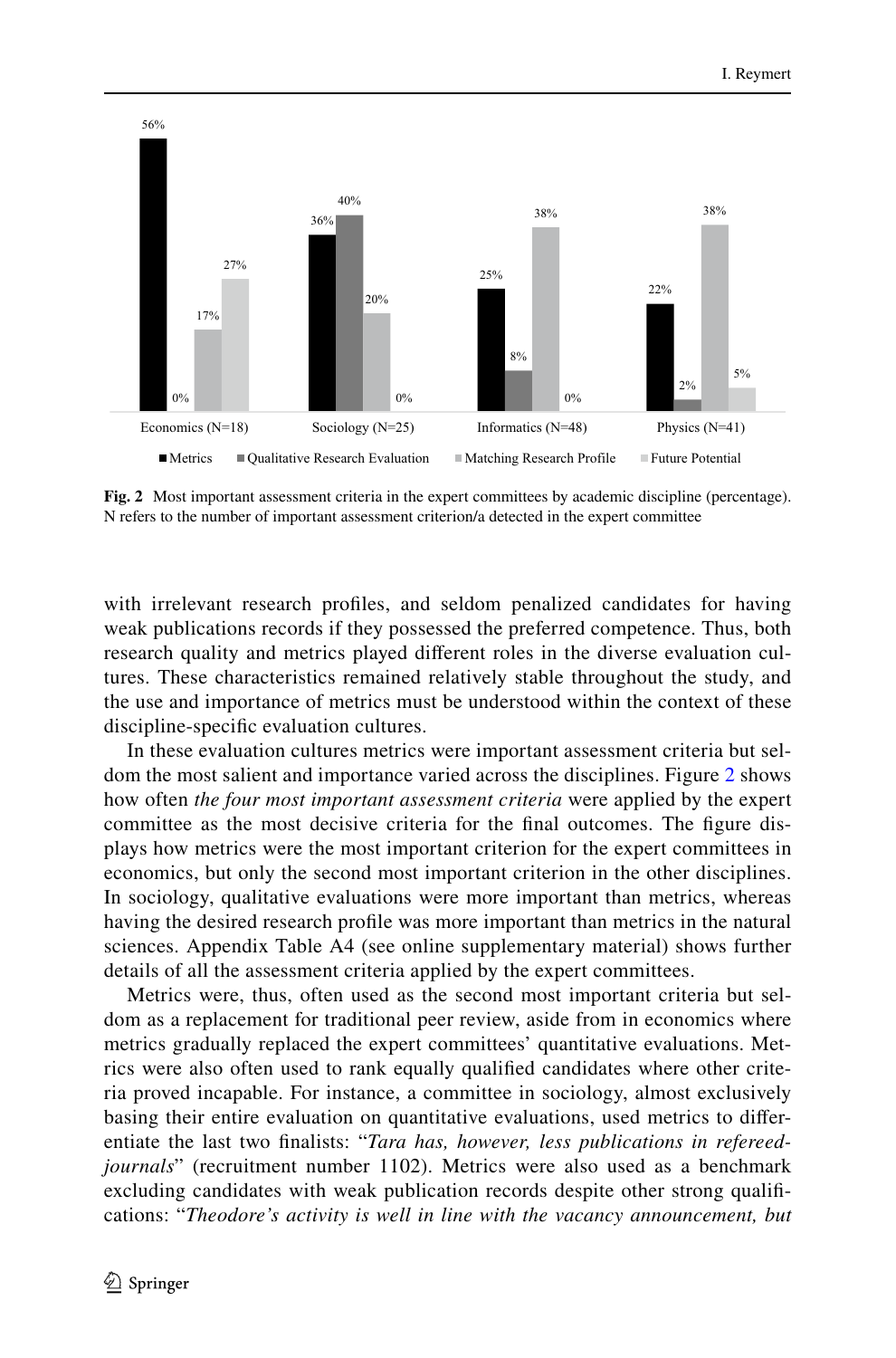

<span id="page-11-0"></span>**Fig. 2** Most important assessment criteria in the expert committees by academic discipline (percentage). N refers to the number of important assessment criterion/a detected in the expert committee

with irrelevant research profles, and seldom penalized candidates for having weak publications records if they possessed the preferred competence. Thus, both research quality and metrics played diferent roles in the diverse evaluation cultures. These characteristics remained relatively stable throughout the study, and the use and importance of metrics must be understood within the context of these discipline-specifc evaluation cultures.

In these evaluation cultures metrics were important assessment criteria but seldom the most salient and importance varied across the disciplines. Figure [2](#page-11-0) shows how often *the four most important assessment criteria* were applied by the expert committee as the most decisive criteria for the fnal outcomes. The fgure displays how metrics were the most important criterion for the expert committees in economics, but only the second most important criterion in the other disciplines. In sociology, qualitative evaluations were more important than metrics, whereas having the desired research profle was more important than metrics in the natural sciences. Appendix Table A4 (see online supplementary material) shows further details of all the assessment criteria applied by the expert committees.

Metrics were, thus, often used as the second most important criteria but seldom as a replacement for traditional peer review, aside from in economics where metrics gradually replaced the expert committees' quantitative evaluations. Metrics were also often used to rank equally qualifed candidates where other criteria proved incapable. For instance, a committee in sociology, almost exclusively basing their entire evaluation on quantitative evaluations, used metrics to diferentiate the last two fnalists: "*Tara has, however, less publications in refereedjournals*" (recruitment number 1102). Metrics were also used as a benchmark excluding candidates with weak publication records despite other strong qualifcations: "*Theodore's activity is well in line with the vacancy announcement, but*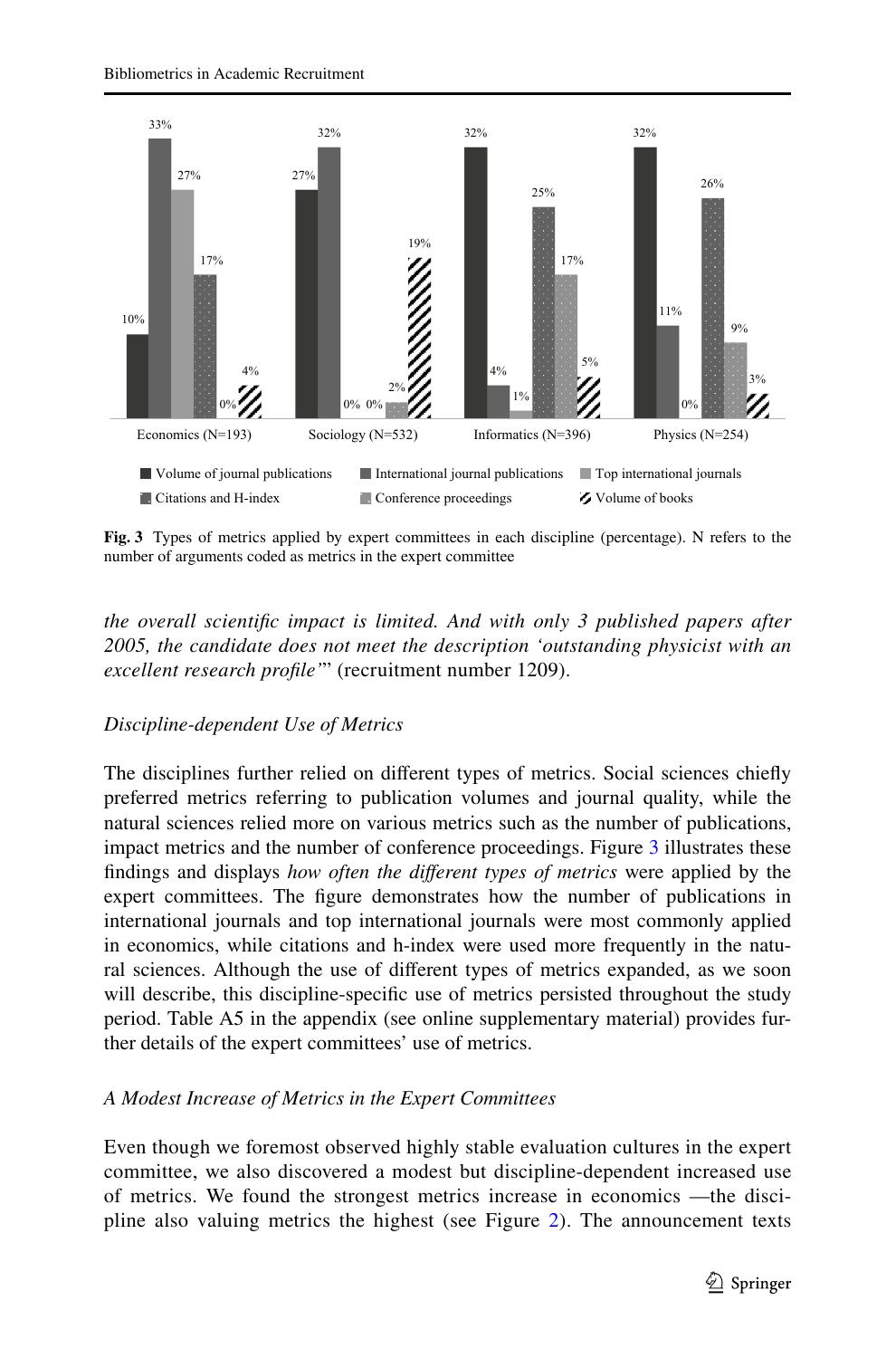

<span id="page-12-0"></span>**Fig. 3** Types of metrics applied by expert committees in each discipline (percentage). N refers to the number of arguments coded as metrics in the expert committee

*the overall scientifc impact is limited. And with only 3 published papers after 2005, the candidate does not meet the description 'outstanding physicist with an excellent research profle'*" (recruitment number 1209).

# *Discipline-dependent Use of Metrics*

The disciplines further relied on diferent types of metrics. Social sciences chiefy preferred metrics referring to publication volumes and journal quality, while the natural sciences relied more on various metrics such as the number of publications, impact metrics and the number of conference proceedings. Figure [3](#page-12-0) illustrates these fndings and displays *how often the diferent types of metrics* were applied by the expert committees. The fgure demonstrates how the number of publications in international journals and top international journals were most commonly applied in economics, while citations and h-index were used more frequently in the natural sciences. Although the use of diferent types of metrics expanded, as we soon will describe, this discipline-specifc use of metrics persisted throughout the study period. Table A5 in the appendix (see online supplementary material) provides further details of the expert committees' use of metrics.

# *A Modest Increase of Metrics in the Expert Committees*

Even though we foremost observed highly stable evaluation cultures in the expert committee, we also discovered a modest but discipline-dependent increased use of metrics. We found the strongest metrics increase in economics —the discipline also valuing metrics the highest (see Figure [2](#page-11-0)). The announcement texts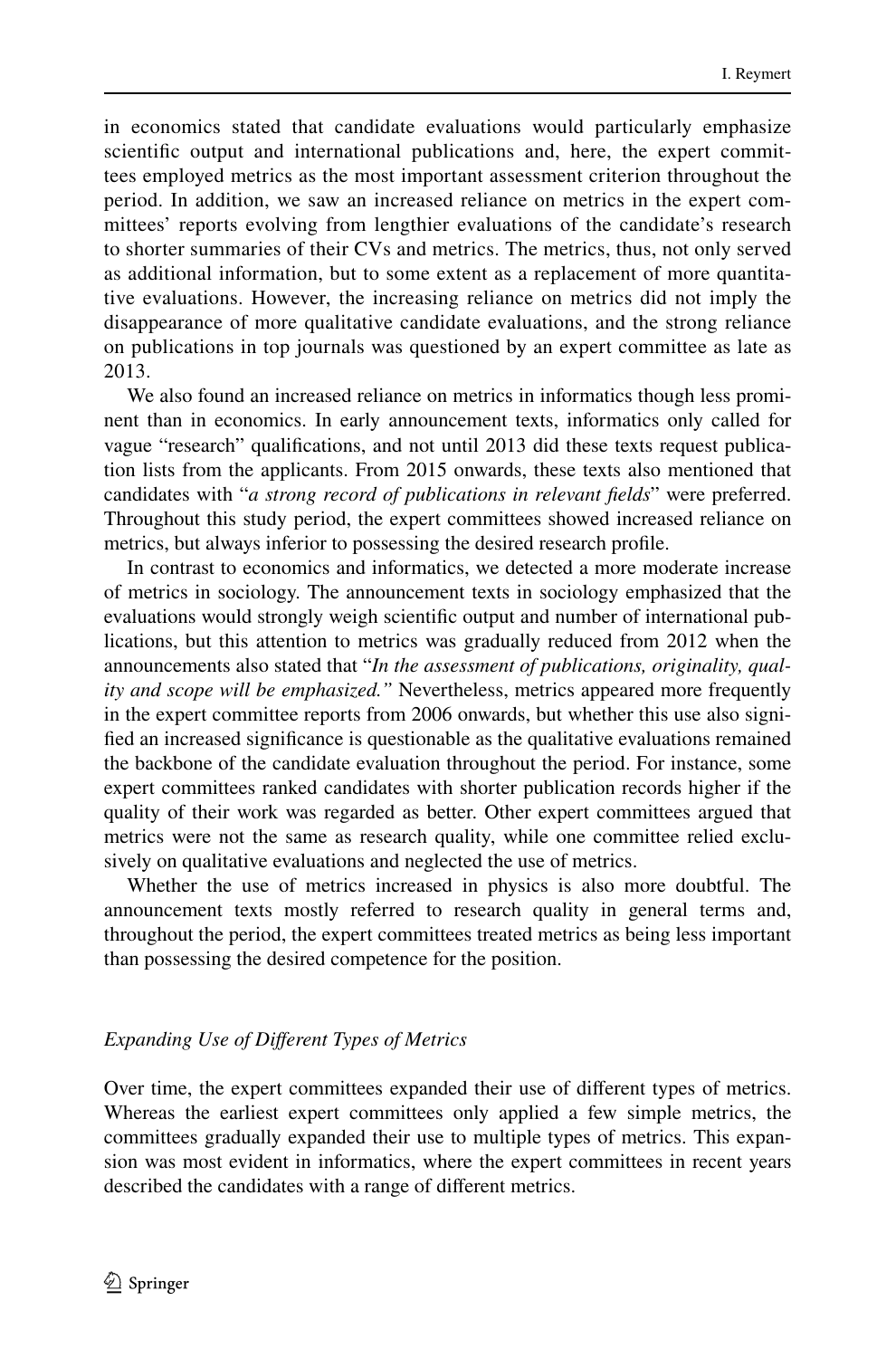in economics stated that candidate evaluations would particularly emphasize scientifc output and international publications and, here, the expert committees employed metrics as the most important assessment criterion throughout the period. In addition, we saw an increased reliance on metrics in the expert committees' reports evolving from lengthier evaluations of the candidate's research to shorter summaries of their CVs and metrics. The metrics, thus, not only served as additional information, but to some extent as a replacement of more quantitative evaluations. However, the increasing reliance on metrics did not imply the disappearance of more qualitative candidate evaluations, and the strong reliance on publications in top journals was questioned by an expert committee as late as 2013.

We also found an increased reliance on metrics in informatics though less prominent than in economics. In early announcement texts, informatics only called for vague "research" qualifcations, and not until 2013 did these texts request publication lists from the applicants. From 2015 onwards, these texts also mentioned that candidates with "*a strong record of publications in relevant felds*" were preferred. Throughout this study period, the expert committees showed increased reliance on metrics, but always inferior to possessing the desired research profle.

In contrast to economics and informatics, we detected a more moderate increase of metrics in sociology. The announcement texts in sociology emphasized that the evaluations would strongly weigh scientifc output and number of international publications, but this attention to metrics was gradually reduced from 2012 when the announcements also stated that "*In the assessment of publications, originality, quality and scope will be emphasized."* Nevertheless, metrics appeared more frequently in the expert committee reports from 2006 onwards, but whether this use also signifed an increased signifcance is questionable as the qualitative evaluations remained the backbone of the candidate evaluation throughout the period. For instance, some expert committees ranked candidates with shorter publication records higher if the quality of their work was regarded as better. Other expert committees argued that metrics were not the same as research quality, while one committee relied exclusively on qualitative evaluations and neglected the use of metrics.

Whether the use of metrics increased in physics is also more doubtful. The announcement texts mostly referred to research quality in general terms and, throughout the period, the expert committees treated metrics as being less important than possessing the desired competence for the position.

### *Expanding Use of Diferent Types of Metrics*

Over time, the expert committees expanded their use of diferent types of metrics. Whereas the earliest expert committees only applied a few simple metrics, the committees gradually expanded their use to multiple types of metrics. This expansion was most evident in informatics, where the expert committees in recent years described the candidates with a range of diferent metrics.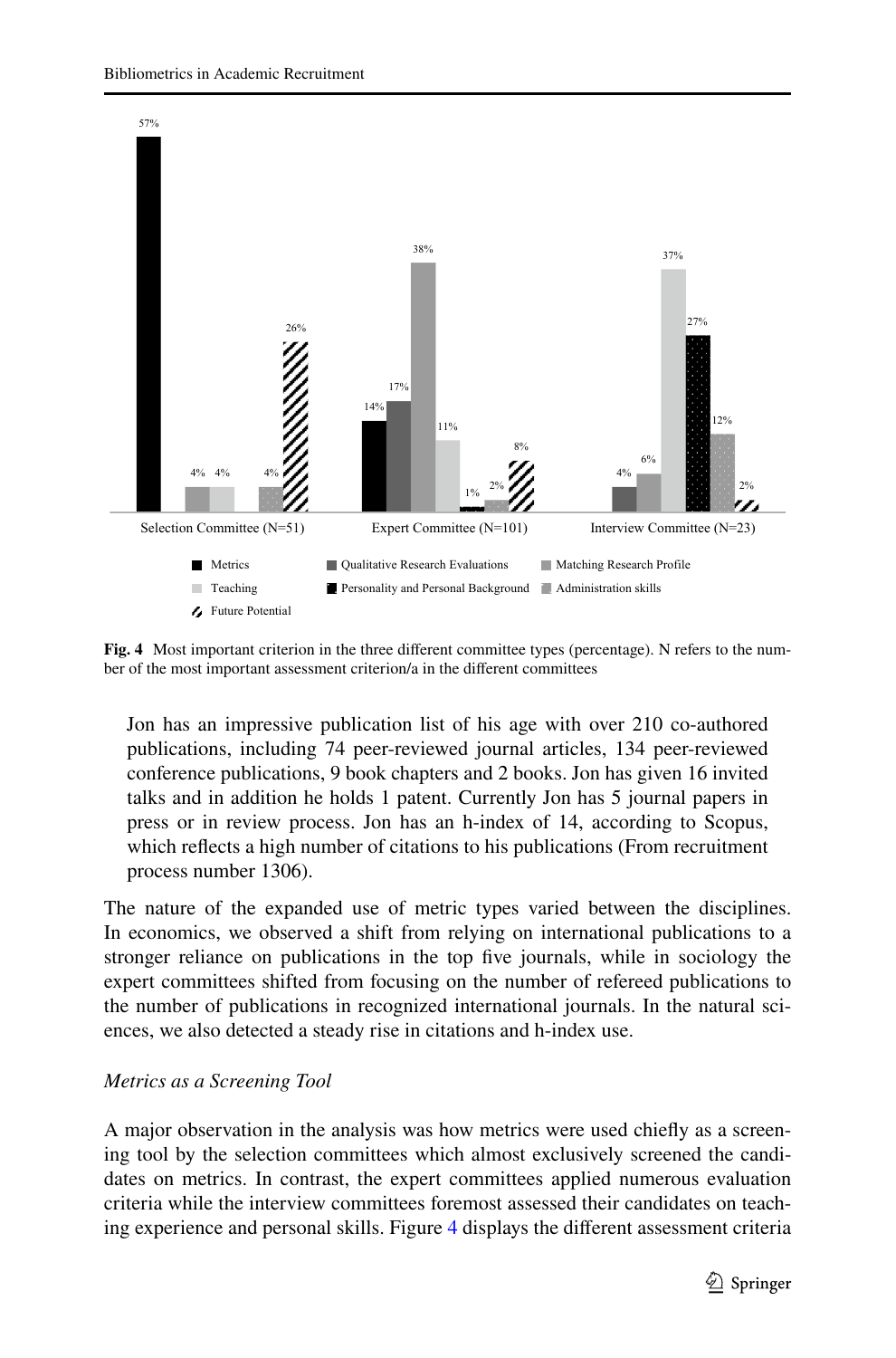

<span id="page-14-0"></span>**Fig. 4** Most important criterion in the three diferent committee types (percentage). N refers to the number of the most important assessment criterion/a in the diferent committees

Jon has an impressive publication list of his age with over 210 co-authored publications, including 74 peer-reviewed journal articles, 134 peer-reviewed conference publications, 9 book chapters and 2 books. Jon has given 16 invited talks and in addition he holds 1 patent. Currently Jon has 5 journal papers in press or in review process. Jon has an h-index of 14, according to Scopus, which refects a high number of citations to his publications (From recruitment process number 1306).

The nature of the expanded use of metric types varied between the disciplines. In economics, we observed a shift from relying on international publications to a stronger reliance on publications in the top fve journals, while in sociology the expert committees shifted from focusing on the number of refereed publications to the number of publications in recognized international journals. In the natural sciences, we also detected a steady rise in citations and h-index use.

# *Metrics as a Screening Tool*

A major observation in the analysis was how metrics were used chiefy as a screening tool by the selection committees which almost exclusively screened the candidates on metrics. In contrast, the expert committees applied numerous evaluation criteria while the interview committees foremost assessed their candidates on teaching experience and personal skills. Figure [4](#page-14-0) displays the diferent assessment criteria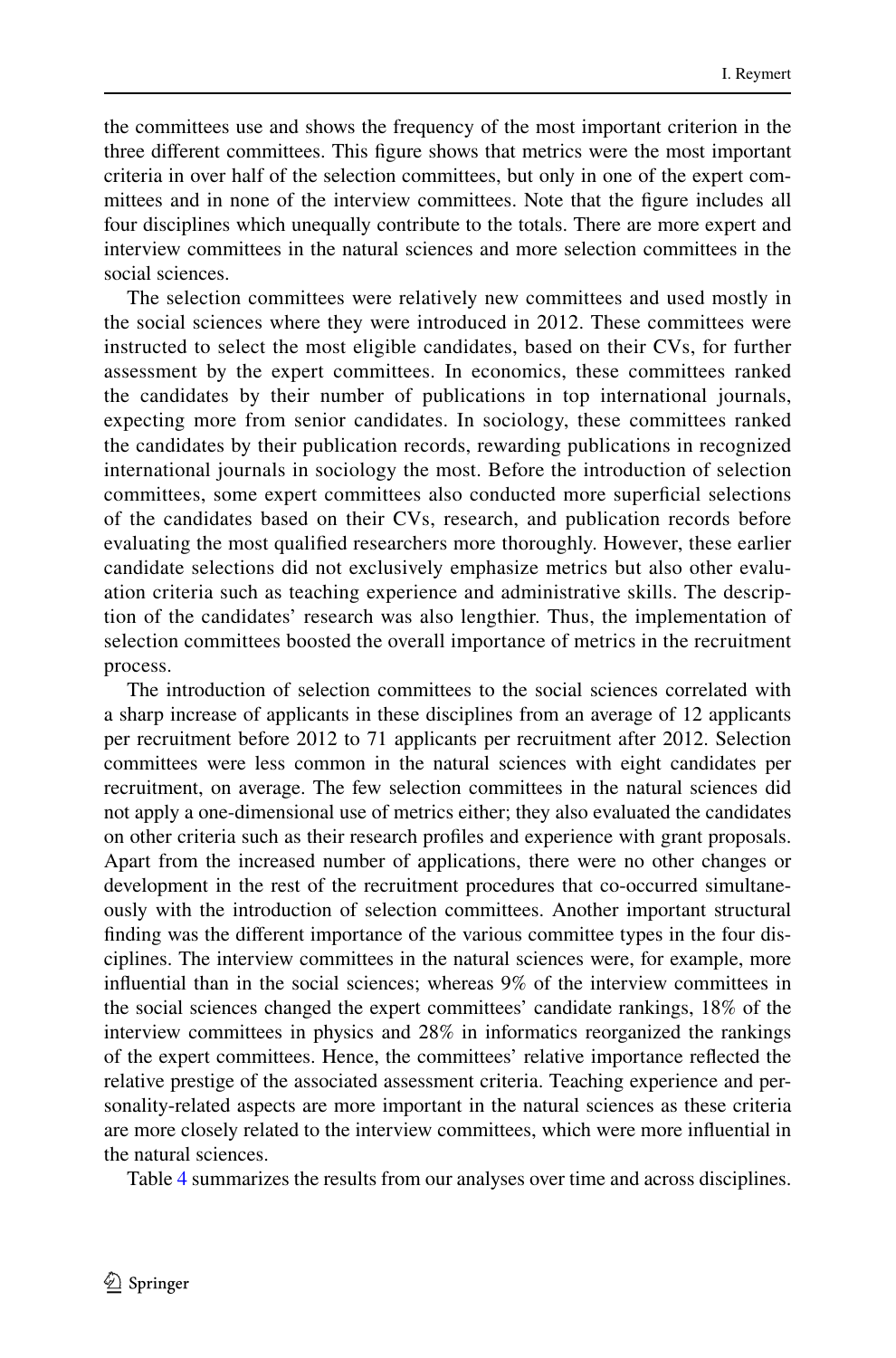the committees use and shows the frequency of the most important criterion in the three diferent committees. This fgure shows that metrics were the most important criteria in over half of the selection committees, but only in one of the expert committees and in none of the interview committees. Note that the fgure includes all four disciplines which unequally contribute to the totals. There are more expert and interview committees in the natural sciences and more selection committees in the social sciences.

The selection committees were relatively new committees and used mostly in the social sciences where they were introduced in 2012. These committees were instructed to select the most eligible candidates, based on their CVs, for further assessment by the expert committees. In economics, these committees ranked the candidates by their number of publications in top international journals, expecting more from senior candidates. In sociology, these committees ranked the candidates by their publication records, rewarding publications in recognized international journals in sociology the most. Before the introduction of selection committees, some expert committees also conducted more superficial selections of the candidates based on their CVs, research, and publication records before evaluating the most qualifed researchers more thoroughly. However, these earlier candidate selections did not exclusively emphasize metrics but also other evaluation criteria such as teaching experience and administrative skills. The description of the candidates' research was also lengthier. Thus, the implementation of selection committees boosted the overall importance of metrics in the recruitment process.

The introduction of selection committees to the social sciences correlated with a sharp increase of applicants in these disciplines from an average of 12 applicants per recruitment before 2012 to 71 applicants per recruitment after 2012. Selection committees were less common in the natural sciences with eight candidates per recruitment, on average. The few selection committees in the natural sciences did not apply a one-dimensional use of metrics either; they also evaluated the candidates on other criteria such as their research profles and experience with grant proposals. Apart from the increased number of applications, there were no other changes or development in the rest of the recruitment procedures that co-occurred simultaneously with the introduction of selection committees. Another important structural fnding was the diferent importance of the various committee types in the four disciplines. The interview committees in the natural sciences were, for example, more infuential than in the social sciences; whereas 9% of the interview committees in the social sciences changed the expert committees' candidate rankings, 18% of the interview committees in physics and 28% in informatics reorganized the rankings of the expert committees. Hence, the committees' relative importance refected the relative prestige of the associated assessment criteria. Teaching experience and personality-related aspects are more important in the natural sciences as these criteria are more closely related to the interview committees, which were more infuential in the natural sciences.

Table [4](#page-16-0) summarizes the results from our analyses over time and across disciplines.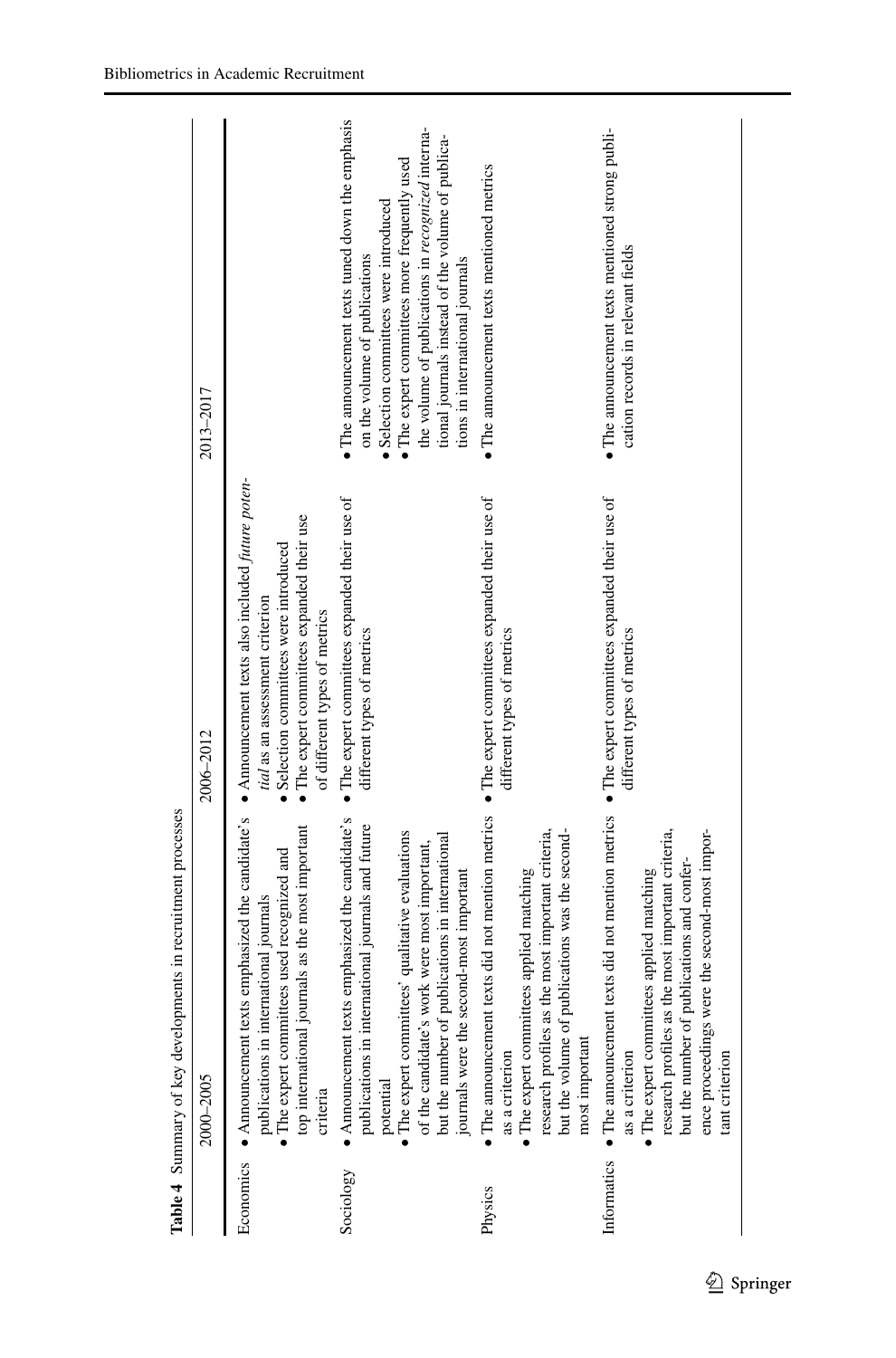| $\bullet$ The announcement texts tuned down the emphasis<br>the volume of publications in recognized interna-<br>• The announcement texts mentioned strong publi-<br>tional journals instead of the volume of publica-<br>$\bullet$ The expert committees more frequently used<br>$\bullet$ The announcement texts mentioned metrics<br>Selection committees were introduced<br>cation records in relevant fields<br>on the volume of publications<br>tions in international journals<br>2013–2017<br>• Announcement texts also included future poten-<br>$\bullet$ The expert committees expanded their use of<br>$\bullet$ The expert committees expanded their use of<br>$\bullet$ The expert committees expanded their use of<br>• The expert committees expanded their use<br>· Selection committees were introduced<br>tial as an assessment criterion<br>of different types of metrics<br>different types of metrics<br>different types of metrics<br>different types of metrics<br>2006-2012<br>· The announcement texts did not mention metrics<br>Informatics • The announcement texts did not mention metrics<br>texts emphasized the candidate's<br>• Announcement texts emphasized the candidate's<br>nternational journals and future<br>journals as the most important<br>as the most important criteria,<br>ence proceedings were the second-most impor-<br>• The expert committees' qualitative evaluations<br>but the volume of publications was the second-<br>research profiles as the most important criteria,<br>but the number of publications in international<br>of the candidate's work were most important,<br>The expert committees used recognized and<br>but the number of publications and confer-<br>journals were the second-most important<br>The expert committees applied matching<br>• The expert committees applied matching<br>nternational journals<br>publications in in<br>publications in ir<br>potential<br>top international<br>research profiles<br>$\bullet$ Announcement $\mathfrak t$<br>most important<br>as a criterion<br>as a criterion<br>tant criterion<br>2000-2005<br>criteria<br>Economics<br>Sociology<br>Physics | Table 4 Summary of key developments in recruitment processes |  |
|------------------------------------------------------------------------------------------------------------------------------------------------------------------------------------------------------------------------------------------------------------------------------------------------------------------------------------------------------------------------------------------------------------------------------------------------------------------------------------------------------------------------------------------------------------------------------------------------------------------------------------------------------------------------------------------------------------------------------------------------------------------------------------------------------------------------------------------------------------------------------------------------------------------------------------------------------------------------------------------------------------------------------------------------------------------------------------------------------------------------------------------------------------------------------------------------------------------------------------------------------------------------------------------------------------------------------------------------------------------------------------------------------------------------------------------------------------------------------------------------------------------------------------------------------------------------------------------------------------------------------------------------------------------------------------------------------------------------------------------------------------------------------------------------------------------------------------------------------------------------------------------------------------------------------------------------------------------------------------------------------------------------------------------------------------------------------------------------------------------------------------------------------------------------------|--------------------------------------------------------------|--|
|                                                                                                                                                                                                                                                                                                                                                                                                                                                                                                                                                                                                                                                                                                                                                                                                                                                                                                                                                                                                                                                                                                                                                                                                                                                                                                                                                                                                                                                                                                                                                                                                                                                                                                                                                                                                                                                                                                                                                                                                                                                                                                                                                                              |                                                              |  |
|                                                                                                                                                                                                                                                                                                                                                                                                                                                                                                                                                                                                                                                                                                                                                                                                                                                                                                                                                                                                                                                                                                                                                                                                                                                                                                                                                                                                                                                                                                                                                                                                                                                                                                                                                                                                                                                                                                                                                                                                                                                                                                                                                                              |                                                              |  |
|                                                                                                                                                                                                                                                                                                                                                                                                                                                                                                                                                                                                                                                                                                                                                                                                                                                                                                                                                                                                                                                                                                                                                                                                                                                                                                                                                                                                                                                                                                                                                                                                                                                                                                                                                                                                                                                                                                                                                                                                                                                                                                                                                                              |                                                              |  |
|                                                                                                                                                                                                                                                                                                                                                                                                                                                                                                                                                                                                                                                                                                                                                                                                                                                                                                                                                                                                                                                                                                                                                                                                                                                                                                                                                                                                                                                                                                                                                                                                                                                                                                                                                                                                                                                                                                                                                                                                                                                                                                                                                                              |                                                              |  |
|                                                                                                                                                                                                                                                                                                                                                                                                                                                                                                                                                                                                                                                                                                                                                                                                                                                                                                                                                                                                                                                                                                                                                                                                                                                                                                                                                                                                                                                                                                                                                                                                                                                                                                                                                                                                                                                                                                                                                                                                                                                                                                                                                                              |                                                              |  |

<span id="page-16-0"></span>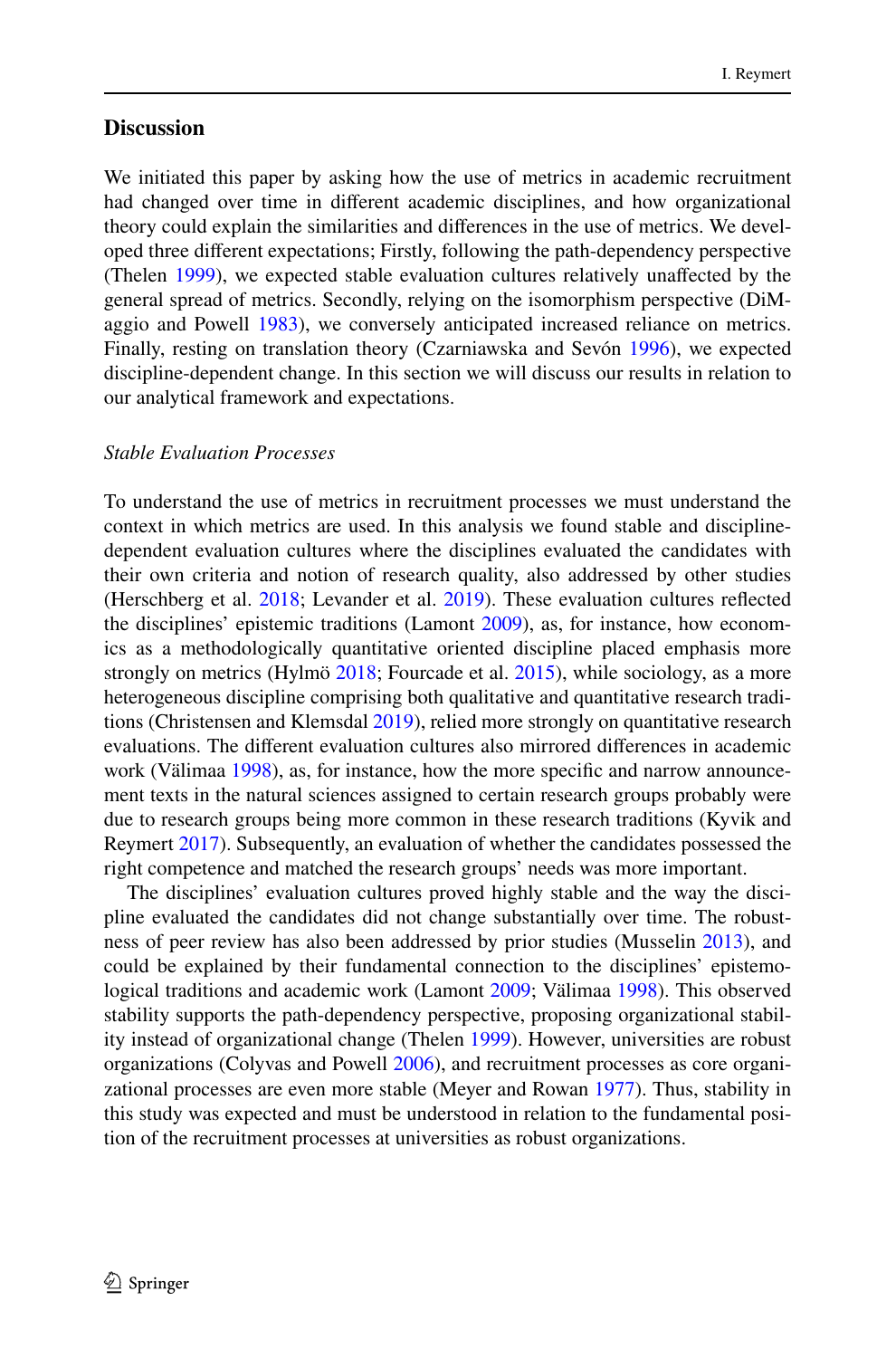# **Discussion**

We initiated this paper by asking how the use of metrics in academic recruitment had changed over time in diferent academic disciplines, and how organizational theory could explain the similarities and diferences in the use of metrics. We developed three diferent expectations; Firstly, following the path-dependency perspective (Thelen [1999\)](#page-25-1), we expected stable evaluation cultures relatively unafected by the general spread of metrics. Secondly, relying on the isomorphism perspective (DiM-aggio and Powell [1983](#page-23-7)), we conversely anticipated increased reliance on metrics. Finally, resting on translation theory (Czarniawska and Sevón [1996\)](#page-23-8), we expected discipline-dependent change. In this section we will discuss our results in relation to our analytical framework and expectations.

#### *Stable Evaluation Processes*

To understand the use of metrics in recruitment processes we must understand the context in which metrics are used. In this analysis we found stable and disciplinedependent evaluation cultures where the disciplines evaluated the candidates with their own criteria and notion of research quality, also addressed by other studies (Herschberg et al. [2018](#page-23-9); Levander et al. [2019\)](#page-24-9). These evaluation cultures refected the disciplines' epistemic traditions (Lamont [2009](#page-23-6)), as, for instance, how economics as a methodologically quantitative oriented discipline placed emphasis more strongly on metrics (Hylmö [2018;](#page-23-11) Fourcade et al. [2015](#page-23-15)), while sociology, as a more heterogeneous discipline comprising both qualitative and quantitative research traditions (Christensen and Klemsdal [2019](#page-22-7)), relied more strongly on quantitative research evaluations. The diferent evaluation cultures also mirrored diferences in academic work (Välimaa [1998](#page-25-8)), as, for instance, how the more specifc and narrow announcement texts in the natural sciences assigned to certain research groups probably were due to research groups being more common in these research traditions (Kyvik and Reymert [2017\)](#page-23-20). Subsequently, an evaluation of whether the candidates possessed the right competence and matched the research groups' needs was more important.

The disciplines' evaluation cultures proved highly stable and the way the discipline evaluated the candidates did not change substantially over time. The robustness of peer review has also been addressed by prior studies (Musselin [2013\)](#page-24-6), and could be explained by their fundamental connection to the disciplines' epistemological traditions and academic work (Lamont [2009;](#page-23-6) Välimaa [1998\)](#page-25-8). This observed stability supports the path-dependency perspective, proposing organizational stability instead of organizational change (Thelen [1999\)](#page-25-1). However, universities are robust organizations (Colyvas and Powell [2006\)](#page-23-13), and recruitment processes as core organizational processes are even more stable (Meyer and Rowan [1977\)](#page-24-8). Thus, stability in this study was expected and must be understood in relation to the fundamental position of the recruitment processes at universities as robust organizations.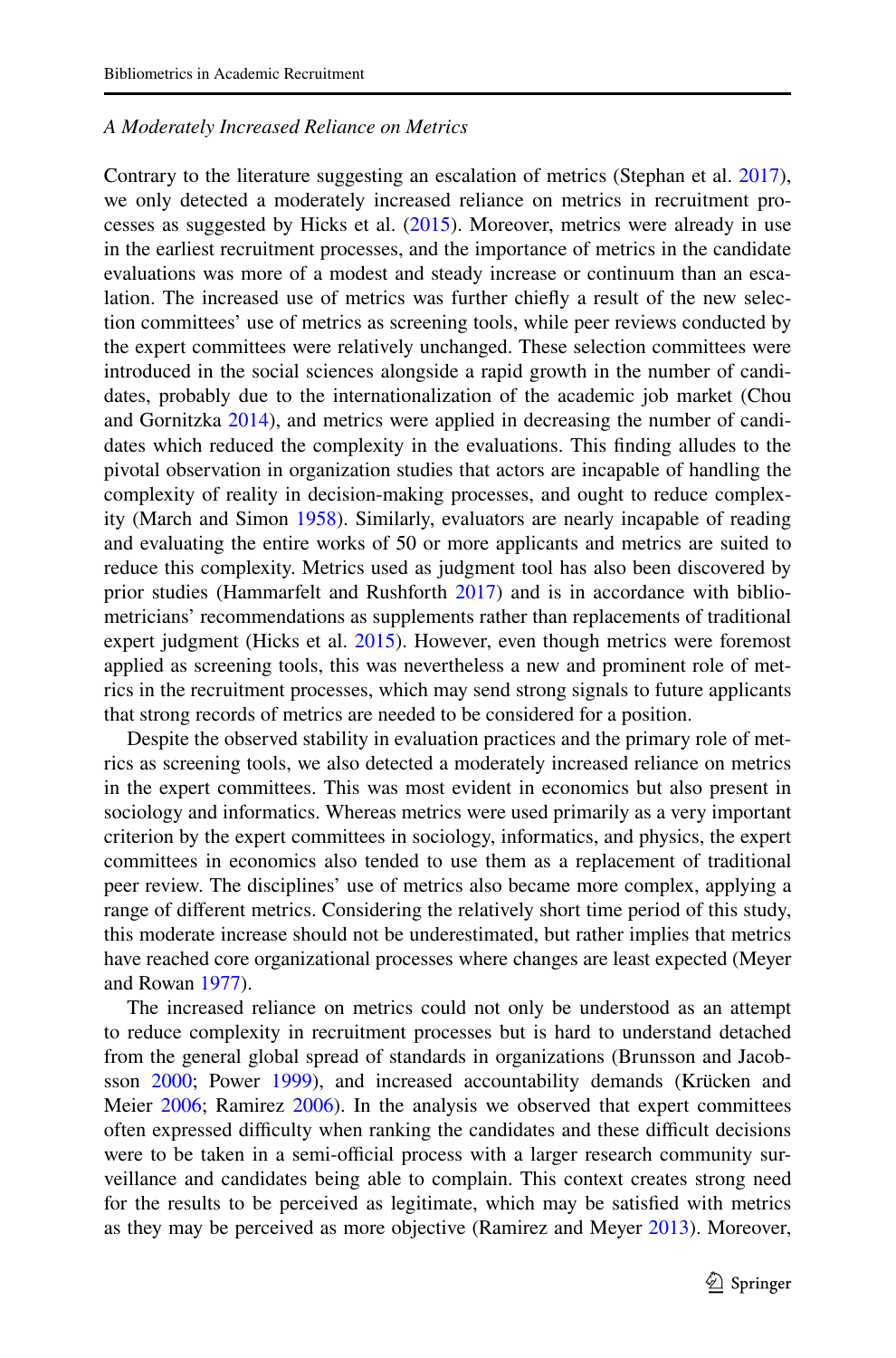#### *A Moderately Increased Reliance on Metrics*

Contrary to the literature suggesting an escalation of metrics (Stephan et al. [2017\)](#page-24-5), we only detected a moderately increased reliance on metrics in recruitment processes as suggested by Hicks et al. [\(2015](#page-23-4)). Moreover, metrics were already in use in the earliest recruitment processes, and the importance of metrics in the candidate evaluations was more of a modest and steady increase or continuum than an escalation. The increased use of metrics was further chiefy a result of the new selection committees' use of metrics as screening tools, while peer reviews conducted by the expert committees were relatively unchanged. These selection committees were introduced in the social sciences alongside a rapid growth in the number of candidates, probably due to the internationalization of the academic job market (Chou and Gornitzka [2014\)](#page-22-8), and metrics were applied in decreasing the number of candidates which reduced the complexity in the evaluations. This fnding alludes to the pivotal observation in organization studies that actors are incapable of handling the complexity of reality in decision-making processes, and ought to reduce complexity (March and Simon [1958](#page-24-20)). Similarly, evaluators are nearly incapable of reading and evaluating the entire works of 50 or more applicants and metrics are suited to reduce this complexity. Metrics used as judgment tool has also been discovered by prior studies (Hammarfelt and Rushforth [2017](#page-23-3)) and is in accordance with bibliometricians' recommendations as supplements rather than replacements of traditional expert judgment (Hicks et al. [2015](#page-23-4)). However, even though metrics were foremost applied as screening tools, this was nevertheless a new and prominent role of metrics in the recruitment processes, which may send strong signals to future applicants that strong records of metrics are needed to be considered for a position.

Despite the observed stability in evaluation practices and the primary role of metrics as screening tools, we also detected a moderately increased reliance on metrics in the expert committees. This was most evident in economics but also present in sociology and informatics. Whereas metrics were used primarily as a very important criterion by the expert committees in sociology, informatics, and physics, the expert committees in economics also tended to use them as a replacement of traditional peer review. The disciplines' use of metrics also became more complex, applying a range of diferent metrics. Considering the relatively short time period of this study, this moderate increase should not be underestimated, but rather implies that metrics have reached core organizational processes where changes are least expected (Meyer and Rowan [1977](#page-24-8)).

The increased reliance on metrics could not only be understood as an attempt to reduce complexity in recruitment processes but is hard to understand detached from the general global spread of standards in organizations (Brunsson and Jacobsson [2000](#page-22-0); Power [1999](#page-24-1)), and increased accountability demands (Krücken and Meier [2006;](#page-23-1) Ramirez [2006\)](#page-24-21). In the analysis we observed that expert committees often expressed difficulty when ranking the candidates and these difficult decisions were to be taken in a semi-official process with a larger research community surveillance and candidates being able to complain. This context creates strong need for the results to be perceived as legitimate, which may be satisfed with metrics as they may be perceived as more objective (Ramirez and Meyer [2013](#page-24-0)). Moreover,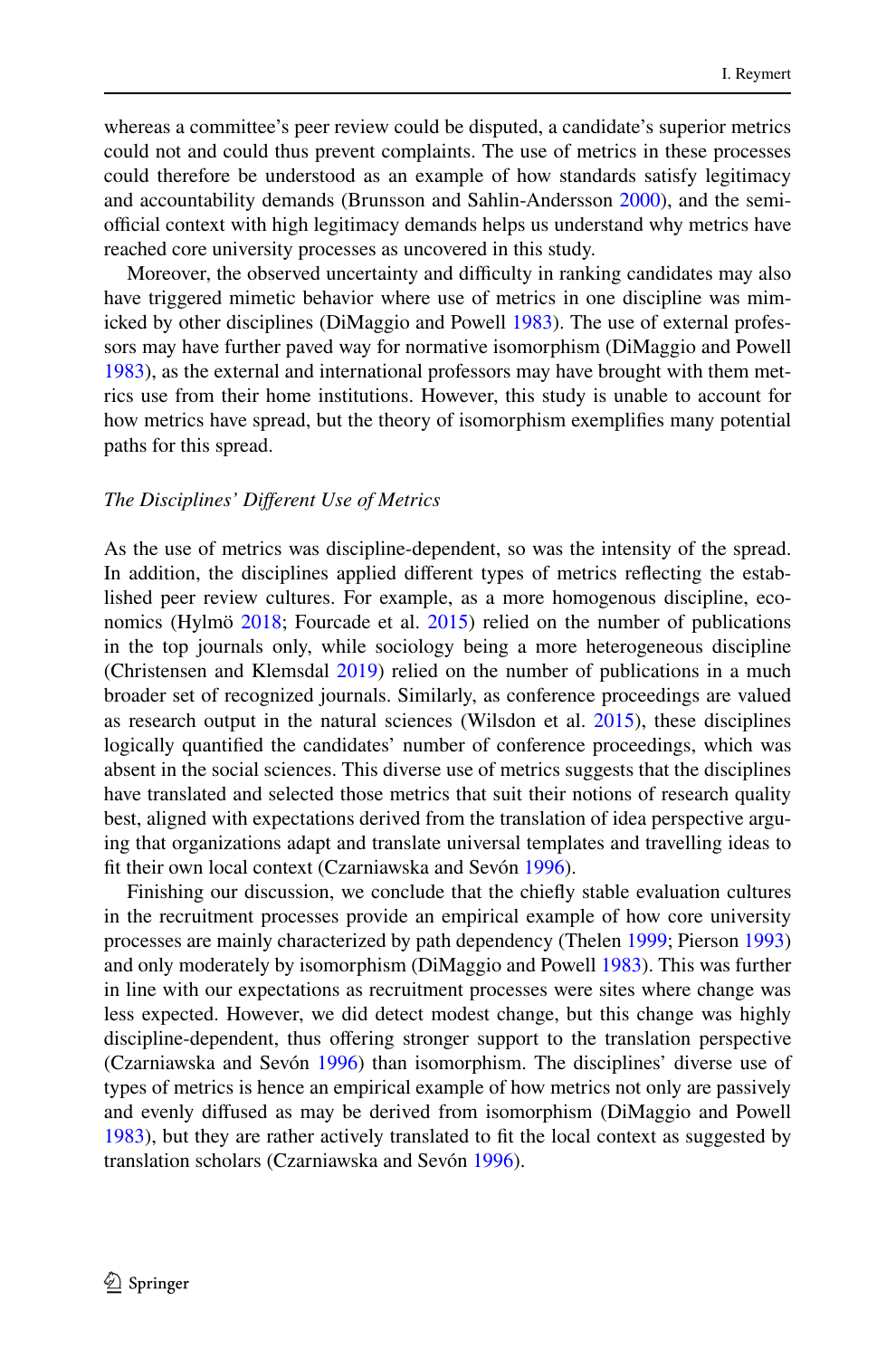whereas a committee's peer review could be disputed, a candidate's superior metrics could not and could thus prevent complaints. The use of metrics in these processes could therefore be understood as an example of how standards satisfy legitimacy and accountability demands (Brunsson and Sahlin-Andersson [2000](#page-22-1)), and the semiofficial context with high legitimacy demands helps us understand why metrics have reached core university processes as uncovered in this study.

Moreover, the observed uncertainty and difficulty in ranking candidates may also have triggered mimetic behavior where use of metrics in one discipline was mimicked by other disciplines (DiMaggio and Powell [1983](#page-23-7)). The use of external professors may have further paved way for normative isomorphism (DiMaggio and Powell [1983](#page-23-7)), as the external and international professors may have brought with them metrics use from their home institutions. However, this study is unable to account for how metrics have spread, but the theory of isomorphism exemplifes many potential paths for this spread.

#### *The Disciplines' Diferent Use of Metrics*

As the use of metrics was discipline-dependent, so was the intensity of the spread. In addition, the disciplines applied diferent types of metrics refecting the established peer review cultures. For example, as a more homogenous discipline, economics (Hylmö [2018](#page-23-11); Fourcade et al. [2015\)](#page-23-15) relied on the number of publications in the top journals only, while sociology being a more heterogeneous discipline (Christensen and Klemsdal [2019](#page-22-7)) relied on the number of publications in a much broader set of recognized journals. Similarly, as conference proceedings are valued as research output in the natural sciences (Wilsdon et al. [2015](#page-25-0)), these disciplines logically quantifed the candidates' number of conference proceedings, which was absent in the social sciences. This diverse use of metrics suggests that the disciplines have translated and selected those metrics that suit their notions of research quality best, aligned with expectations derived from the translation of idea perspective arguing that organizations adapt and translate universal templates and travelling ideas to ft their own local context (Czarniawska and Sevón [1996](#page-23-8)).

Finishing our discussion, we conclude that the chiefy stable evaluation cultures in the recruitment processes provide an empirical example of how core university processes are mainly characterized by path dependency (Thelen [1999](#page-25-1); Pierson [1993](#page-24-7)) and only moderately by isomorphism (DiMaggio and Powell [1983\)](#page-23-7). This was further in line with our expectations as recruitment processes were sites where change was less expected. However, we did detect modest change, but this change was highly discipline-dependent, thus ofering stronger support to the translation perspective (Czarniawska and Sevón [1996\)](#page-23-8) than isomorphism. The disciplines' diverse use of types of metrics is hence an empirical example of how metrics not only are passively and evenly difused as may be derived from isomorphism (DiMaggio and Powell [1983](#page-23-7)), but they are rather actively translated to ft the local context as suggested by translation scholars (Czarniawska and Sevón [1996\)](#page-23-8).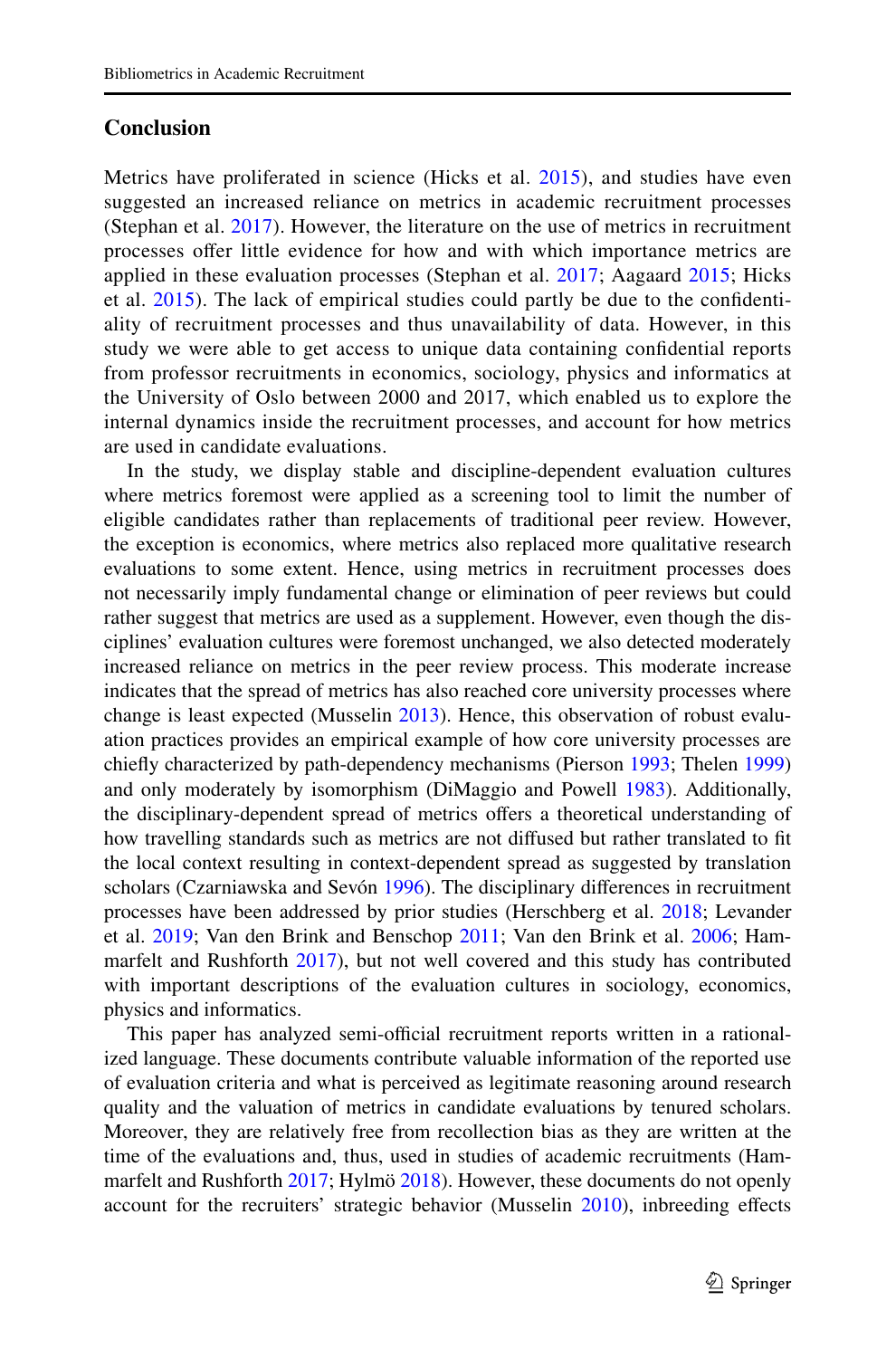### **Conclusion**

Metrics have proliferated in science (Hicks et al. [2015](#page-23-4)), and studies have even suggested an increased reliance on metrics in academic recruitment processes (Stephan et al. [2017\)](#page-24-5). However, the literature on the use of metrics in recruitment processes offer little evidence for how and with which importance metrics are applied in these evaluation processes (Stephan et al. [2017;](#page-24-5) Aagaard [2015](#page-22-4); Hicks et al. [2015\)](#page-23-4). The lack of empirical studies could partly be due to the confdentiality of recruitment processes and thus unavailability of data. However, in this study we were able to get access to unique data containing confdential reports from professor recruitments in economics, sociology, physics and informatics at the University of Oslo between 2000 and 2017, which enabled us to explore the internal dynamics inside the recruitment processes, and account for how metrics are used in candidate evaluations.

In the study, we display stable and discipline-dependent evaluation cultures where metrics foremost were applied as a screening tool to limit the number of eligible candidates rather than replacements of traditional peer review. However, the exception is economics, where metrics also replaced more qualitative research evaluations to some extent. Hence, using metrics in recruitment processes does not necessarily imply fundamental change or elimination of peer reviews but could rather suggest that metrics are used as a supplement. However, even though the disciplines' evaluation cultures were foremost unchanged, we also detected moderately increased reliance on metrics in the peer review process. This moderate increase indicates that the spread of metrics has also reached core university processes where change is least expected (Musselin [2013\)](#page-24-6). Hence, this observation of robust evaluation practices provides an empirical example of how core university processes are chiefy characterized by path-dependency mechanisms (Pierson [1993;](#page-24-7) Thelen [1999\)](#page-25-1) and only moderately by isomorphism (DiMaggio and Powell [1983\)](#page-23-7). Additionally, the disciplinary-dependent spread of metrics offers a theoretical understanding of how travelling standards such as metrics are not difused but rather translated to ft the local context resulting in context-dependent spread as suggested by translation scholars (Czarniawska and Sevón [1996](#page-23-8)). The disciplinary differences in recruitment processes have been addressed by prior studies (Herschberg et al. [2018;](#page-23-9) Levander et al. [2019;](#page-24-9) Van den Brink and Benschop [2011;](#page-25-3) Van den Brink et al. [2006](#page-25-6); Hammarfelt and Rushforth [2017](#page-23-3)), but not well covered and this study has contributed with important descriptions of the evaluation cultures in sociology, economics, physics and informatics.

This paper has analyzed semi-official recruitment reports written in a rationalized language. These documents contribute valuable information of the reported use of evaluation criteria and what is perceived as legitimate reasoning around research quality and the valuation of metrics in candidate evaluations by tenured scholars. Moreover, they are relatively free from recollection bias as they are written at the time of the evaluations and, thus, used in studies of academic recruitments (Ham-marfelt and Rushforth [2017](#page-23-3); Hylmö [2018](#page-23-11)). However, these documents do not openly account for the recruiters' strategic behavior (Musselin [2010](#page-24-13)), inbreeding efects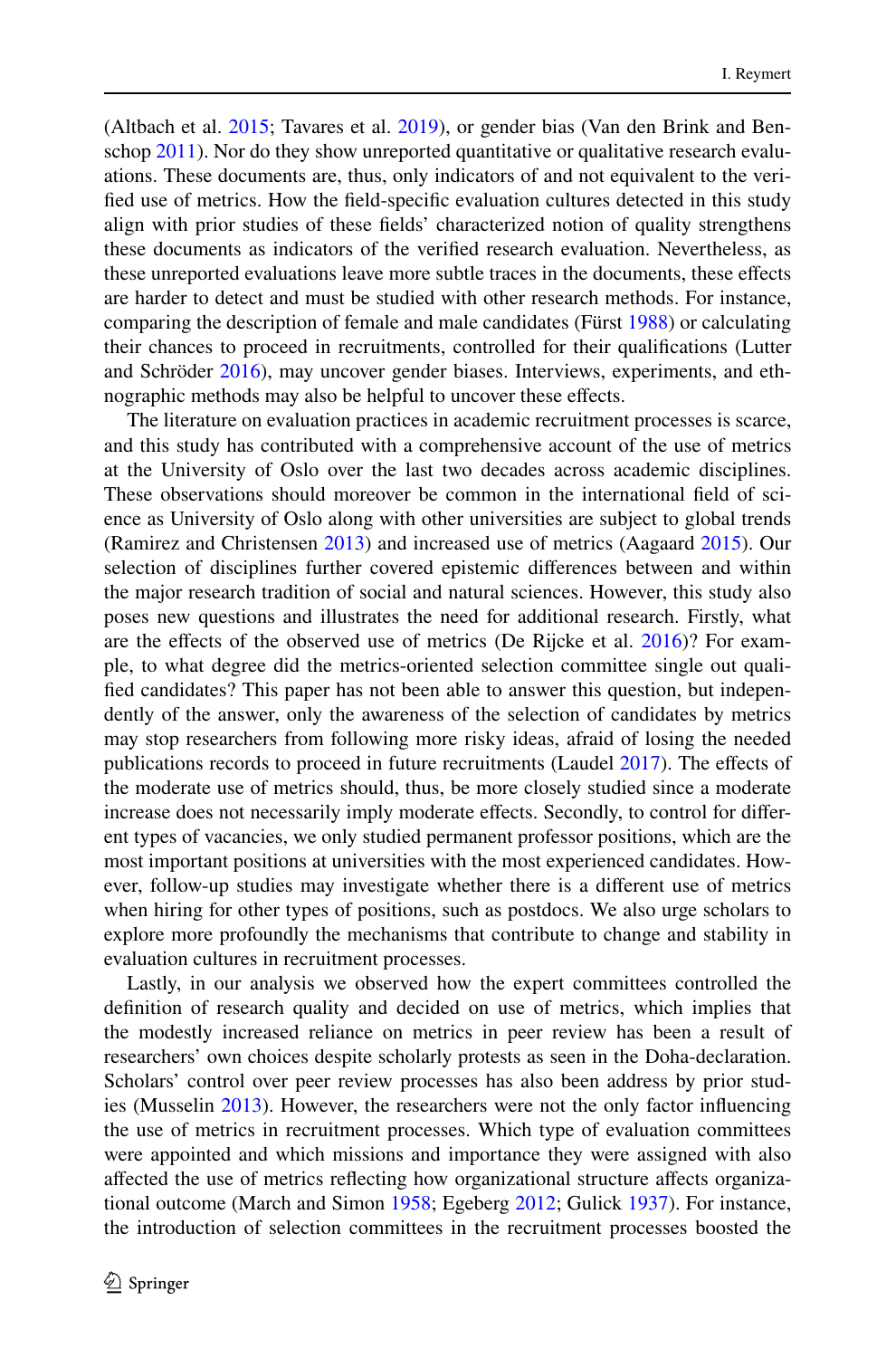(Altbach et al. [2015](#page-22-9); Tavares et al. [2019](#page-25-7)), or gender bias (Van den Brink and Benschop  $2011$ ). Nor do they show unreported quantitative or qualitative research evaluations. These documents are, thus, only indicators of and not equivalent to the verifed use of metrics. How the feld-specifc evaluation cultures detected in this study align with prior studies of these felds' characterized notion of quality strengthens these documents as indicators of the verifed research evaluation. Nevertheless, as these unreported evaluations leave more subtle traces in the documents, these efects are harder to detect and must be studied with other research methods. For instance, comparing the description of female and male candidates (Fürst [1988\)](#page-23-10) or calculating their chances to proceed in recruitments, controlled for their qualifcations (Lutter and Schröder [2016\)](#page-24-22), may uncover gender biases. Interviews, experiments, and ethnographic methods may also be helpful to uncover these effects.

The literature on evaluation practices in academic recruitment processes is scarce, and this study has contributed with a comprehensive account of the use of metrics at the University of Oslo over the last two decades across academic disciplines. These observations should moreover be common in the international feld of science as University of Oslo along with other universities are subject to global trends (Ramirez and Christensen [2013](#page-24-17)) and increased use of metrics (Aagaard [2015\)](#page-22-4). Our selection of disciplines further covered epistemic diferences between and within the major research tradition of social and natural sciences. However, this study also poses new questions and illustrates the need for additional research. Firstly, what are the efects of the observed use of metrics (De Rijcke et al. [2016\)](#page-23-2)? For example, to what degree did the metrics-oriented selection committee single out qualifed candidates? This paper has not been able to answer this question, but independently of the answer, only the awareness of the selection of candidates by metrics may stop researchers from following more risky ideas, afraid of losing the needed publications records to proceed in future recruitments (Laudel [2017](#page-24-23)). The efects of the moderate use of metrics should, thus, be more closely studied since a moderate increase does not necessarily imply moderate efects. Secondly, to control for diferent types of vacancies, we only studied permanent professor positions, which are the most important positions at universities with the most experienced candidates. However, follow-up studies may investigate whether there is a diferent use of metrics when hiring for other types of positions, such as postdocs. We also urge scholars to explore more profoundly the mechanisms that contribute to change and stability in evaluation cultures in recruitment processes.

Lastly, in our analysis we observed how the expert committees controlled the defnition of research quality and decided on use of metrics, which implies that the modestly increased reliance on metrics in peer review has been a result of researchers' own choices despite scholarly protests as seen in the Doha-declaration. Scholars' control over peer review processes has also been address by prior studies (Musselin [2013\)](#page-24-6). However, the researchers were not the only factor infuencing the use of metrics in recruitment processes. Which type of evaluation committees were appointed and which missions and importance they were assigned with also afected the use of metrics refecting how organizational structure afects organizational outcome (March and Simon [1958;](#page-24-20) Egeberg [2012;](#page-23-21) Gulick [1937](#page-23-22)). For instance, the introduction of selection committees in the recruitment processes boosted the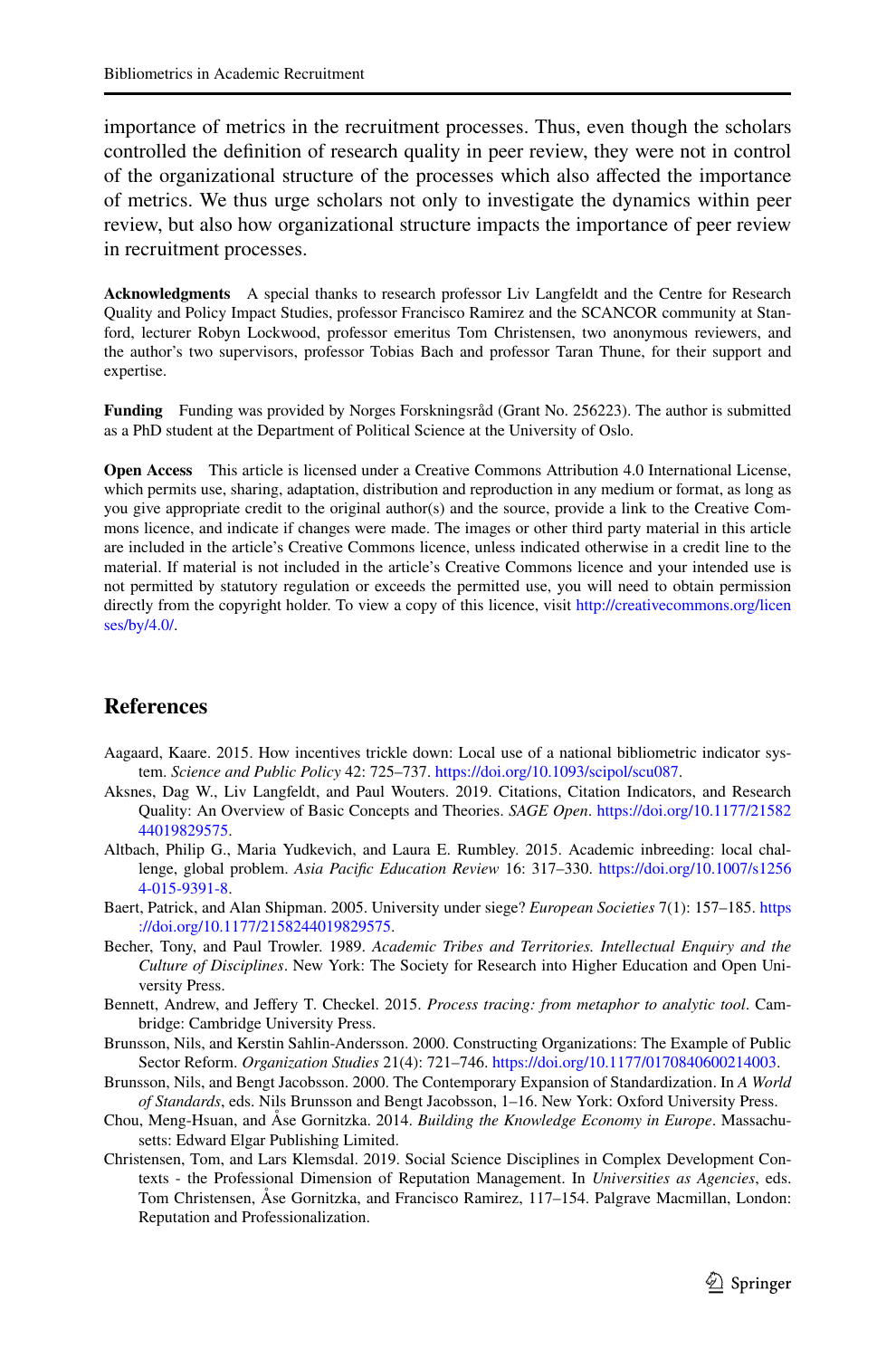importance of metrics in the recruitment processes. Thus, even though the scholars controlled the defnition of research quality in peer review, they were not in control of the organizational structure of the processes which also afected the importance of metrics. We thus urge scholars not only to investigate the dynamics within peer review, but also how organizational structure impacts the importance of peer review in recruitment processes.

**Acknowledgments** A special thanks to research professor Liv Langfeldt and the Centre for Research Quality and Policy Impact Studies, professor Francisco Ramirez and the SCANCOR community at Stanford, lecturer Robyn Lockwood, professor emeritus Tom Christensen, two anonymous reviewers, and the author's two supervisors, professor Tobias Bach and professor Taran Thune, for their support and expertise.

**Funding** Funding was provided by Norges Forskningsråd (Grant No. 256223). The author is submitted as a PhD student at the Department of Political Science at the University of Oslo.

**Open Access** This article is licensed under a Creative Commons Attribution 4.0 International License, which permits use, sharing, adaptation, distribution and reproduction in any medium or format, as long as you give appropriate credit to the original author(s) and the source, provide a link to the Creative Commons licence, and indicate if changes were made. The images or other third party material in this article are included in the article's Creative Commons licence, unless indicated otherwise in a credit line to the material. If material is not included in the article's Creative Commons licence and your intended use is not permitted by statutory regulation or exceeds the permitted use, you will need to obtain permission directly from the copyright holder. To view a copy of this licence, visit [http://creativecommons.org/licen](http://creativecommons.org/licenses/by/4.0/) [ses/by/4.0/](http://creativecommons.org/licenses/by/4.0/).

### **References**

- <span id="page-22-4"></span>Aagaard, Kaare. 2015. How incentives trickle down: Local use of a national bibliometric indicator system. *Science and Public Policy* 42: 725–737. <https://doi.org/10.1093/scipol/scu087>.
- <span id="page-22-3"></span>Aksnes, Dag W., Liv Langfeldt, and Paul Wouters. 2019. Citations, Citation Indicators, and Research Quality: An Overview of Basic Concepts and Theories. *SAGE Open*. [https://doi.org/10.1177/21582](https://doi.org/10.1177/2158244019829575) [44019829575](https://doi.org/10.1177/2158244019829575).
- <span id="page-22-9"></span>Altbach, Philip G., Maria Yudkevich, and Laura E. Rumbley. 2015. Academic inbreeding: local challenge, global problem. *Asia Pacifc Education Review* 16: 317–330. [https://doi.org/10.1007/s1256](https://doi.org/10.1007/s12564-015-9391-8) [4-015-9391-8](https://doi.org/10.1007/s12564-015-9391-8).
- <span id="page-22-2"></span>Baert, Patrick, and Alan Shipman. 2005. University under siege? *European Societies* 7(1): 157–185. [https](https://doi.org/10.1177/2158244019829575) [://doi.org/10.1177/2158244019829575.](https://doi.org/10.1177/2158244019829575)
- <span id="page-22-6"></span>Becher, Tony, and Paul Trowler. 1989. *Academic Tribes and Territories. Intellectual Enquiry and the Culture of Disciplines*. New York: The Society for Research into Higher Education and Open University Press.
- <span id="page-22-5"></span>Bennett, Andrew, and Jefery T. Checkel. 2015. *Process tracing: from metaphor to analytic tool*. Cambridge: Cambridge University Press.
- <span id="page-22-1"></span>Brunsson, Nils, and Kerstin Sahlin-Andersson. 2000. Constructing Organizations: The Example of Public Sector Reform. *Organization Studies* 21(4): 721–746. <https://doi.org/10.1177/0170840600214003>.
- <span id="page-22-0"></span>Brunsson, Nils, and Bengt Jacobsson. 2000. The Contemporary Expansion of Standardization. In *A World of Standards*, eds. Nils Brunsson and Bengt Jacobsson, 1–16. New York: Oxford University Press.
- <span id="page-22-8"></span>Chou, Meng-Hsuan, and Åse Gornitzka. 2014. *Building the Knowledge Economy in Europe*. Massachusetts: Edward Elgar Publishing Limited.
- <span id="page-22-7"></span>Christensen, Tom, and Lars Klemsdal. 2019. Social Science Disciplines in Complex Development Contexts - the Professional Dimension of Reputation Management. In *Universities as Agencies*, eds. Tom Christensen, Åse Gornitzka, and Francisco Ramirez, 117–154. Palgrave Macmillan, London: Reputation and Professionalization.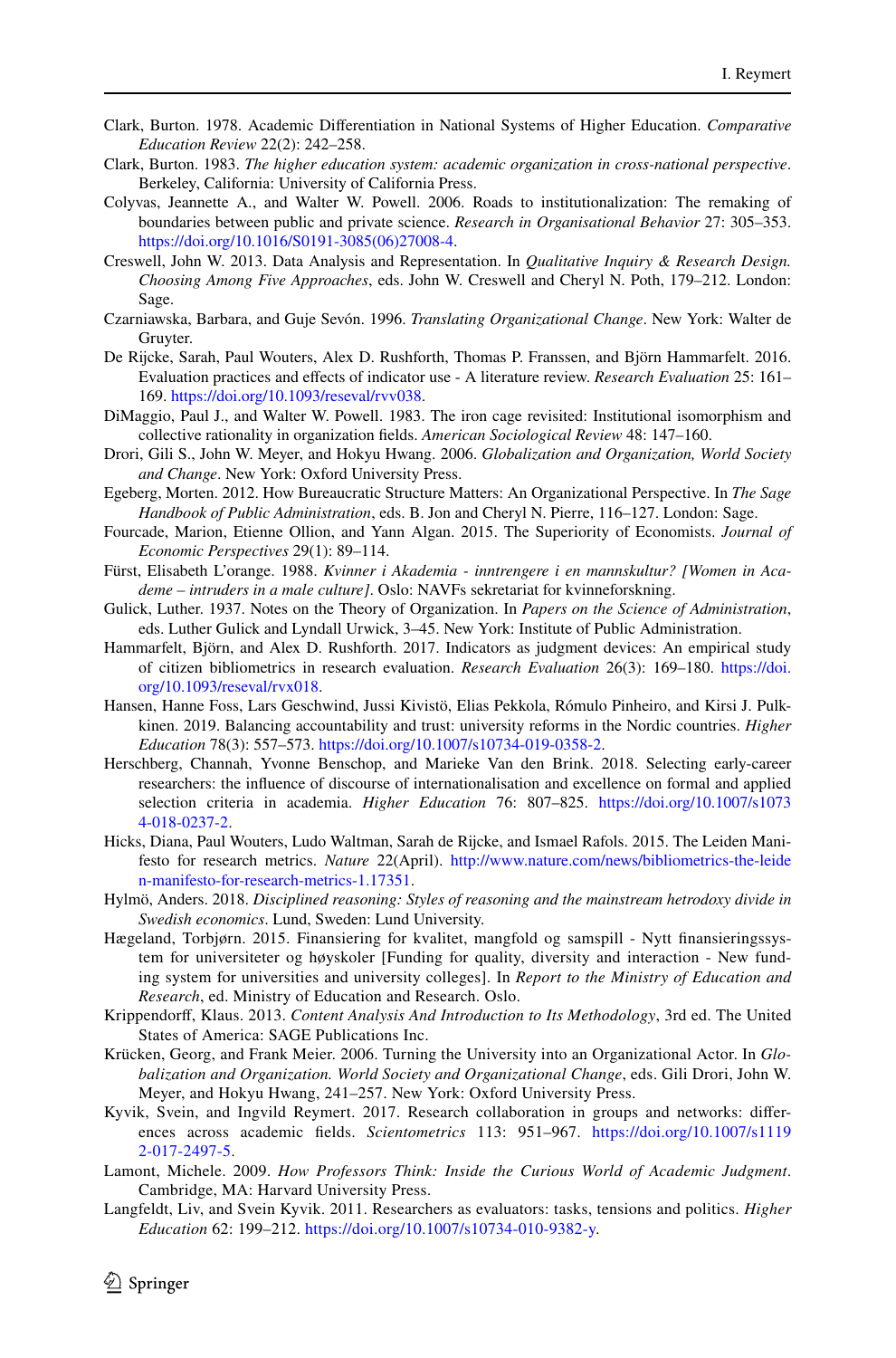- <span id="page-23-12"></span>Clark, Burton. 1978. Academic Diferentiation in National Systems of Higher Education. *Comparative Education Review* 22(2): 242–258.
- <span id="page-23-14"></span>Clark, Burton. 1983. *The higher education system: academic organization in cross-national perspective*. Berkeley, California: University of California Press.
- <span id="page-23-13"></span>Colyvas, Jeannette A., and Walter W. Powell. 2006. Roads to institutionalization: The remaking of boundaries between public and private science. *Research in Organisational Behavior* 27: 305–353. [https://doi.org/10.1016/S0191-3085\(06\)27008-4.](https://doi.org/10.1016/S0191-3085(06)27008-4)
- <span id="page-23-19"></span>Creswell, John W. 2013. Data Analysis and Representation. In *Qualitative Inquiry & Research Design. Choosing Among Five Approaches*, eds. John W. Creswell and Cheryl N. Poth, 179–212. London: Sage.
- <span id="page-23-8"></span>Czarniawska, Barbara, and Guje Sevón. 1996. *Translating Organizational Change*. New York: Walter de Gruyter.
- <span id="page-23-2"></span>De Rijcke, Sarah, Paul Wouters, Alex D. Rushforth, Thomas P. Franssen, and Björn Hammarfelt. 2016. Evaluation practices and efects of indicator use - A literature review. *Research Evaluation* 25: 161– 169. [https://doi.org/10.1093/reseval/rvv038.](https://doi.org/10.1093/reseval/rvv038)
- <span id="page-23-7"></span>DiMaggio, Paul J., and Walter W. Powell. 1983. The iron cage revisited: Institutional isomorphism and collective rationality in organization felds. *American Sociological Review* 48: 147–160.
- <span id="page-23-0"></span>Drori, Gili S., John W. Meyer, and Hokyu Hwang. 2006. *Globalization and Organization, World Society and Change*. New York: Oxford University Press.
- <span id="page-23-21"></span>Egeberg, Morten. 2012. How Bureaucratic Structure Matters: An Organizational Perspective. In *The Sage Handbook of Public Administration*, eds. B. Jon and Cheryl N. Pierre, 116–127. London: Sage.
- <span id="page-23-15"></span>Fourcade, Marion, Etienne Ollion, and Yann Algan. 2015. The Superiority of Economists. *Journal of Economic Perspectives* 29(1): 89–114.
- <span id="page-23-10"></span>Fürst, Elisabeth L'orange. 1988. *Kvinner i Akademia - inntrengere i en mannskultur? [Women in Academe – intruders in a male culture]*. Oslo: NAVFs sekretariat for kvinneforskning.
- <span id="page-23-22"></span>Gulick, Luther. 1937. Notes on the Theory of Organization. In *Papers on the Science of Administration*, eds. Luther Gulick and Lyndall Urwick, 3–45. New York: Institute of Public Administration.
- <span id="page-23-3"></span>Hammarfelt, Björn, and Alex D. Rushforth. 2017. Indicators as judgment devices: An empirical study of citizen bibliometrics in research evaluation. *Research Evaluation* 26(3): 169–180. [https://doi.](https://doi.org/10.1093/reseval/rvx018) [org/10.1093/reseval/rvx018](https://doi.org/10.1093/reseval/rvx018).
- <span id="page-23-16"></span>Hansen, Hanne Foss, Lars Geschwind, Jussi Kivistö, Elias Pekkola, Rómulo Pinheiro, and Kirsi J. Pulkkinen. 2019. Balancing accountability and trust: university reforms in the Nordic countries. *Higher Education* 78(3): 557–573.<https://doi.org/10.1007/s10734-019-0358-2>.
- <span id="page-23-9"></span>Herschberg, Channah, Yvonne Benschop, and Marieke Van den Brink. 2018. Selecting early-career researchers: the infuence of discourse of internationalisation and excellence on formal and applied selection criteria in academia. *Higher Education* 76: 807–825. [https://doi.org/10.1007/s1073](https://doi.org/10.1007/s10734-018-0237-2) [4-018-0237-2](https://doi.org/10.1007/s10734-018-0237-2).
- <span id="page-23-4"></span>Hicks, Diana, Paul Wouters, Ludo Waltman, Sarah de Rijcke, and Ismael Rafols. 2015. The Leiden Manifesto for research metrics. *Nature* 22(April). [http://www.nature.com/news/bibliometrics-the-leide](http://www.nature.com/news/bibliometrics-the-leiden-manifesto-for-research-metrics-1.17351) [n-manifesto-for-research-metrics-1.17351.](http://www.nature.com/news/bibliometrics-the-leiden-manifesto-for-research-metrics-1.17351)
- <span id="page-23-11"></span>Hylmö, Anders. 2018. *Disciplined reasoning: Styles of reasoning and the mainstream hetrodoxy divide in Swedish economics*. Lund, Sweden: Lund University.
- <span id="page-23-17"></span>Hægeland, Torbjørn. 2015. Finansiering for kvalitet, mangfold og samspill - Nytt fnansieringssystem for universiteter og høyskoler [Funding for quality, diversity and interaction - New funding system for universities and university colleges]. In *Report to the Ministry of Education and Research*, ed. Ministry of Education and Research. Oslo.
- <span id="page-23-18"></span>Krippendorf, Klaus. 2013. *Content Analysis And Introduction to Its Methodology*, 3rd ed. The United States of America: SAGE Publications Inc.
- <span id="page-23-1"></span>Krücken, Georg, and Frank Meier. 2006. Turning the University into an Organizational Actor. In *Globalization and Organization. World Society and Organizational Change*, eds. Gili Drori, John W. Meyer, and Hokyu Hwang, 241–257. New York: Oxford University Press.
- <span id="page-23-20"></span>Kyvik, Svein, and Ingvild Reymert. 2017. Research collaboration in groups and networks: diferences across academic felds. *Scientometrics* 113: 951–967. [https://doi.org/10.1007/s1119](https://doi.org/10.1007/s11192-017-2497-5) [2-017-2497-5](https://doi.org/10.1007/s11192-017-2497-5).
- <span id="page-23-6"></span>Lamont, Michele. 2009. *How Professors Think: Inside the Curious World of Academic Judgment*. Cambridge, MA: Harvard University Press.
- <span id="page-23-5"></span>Langfeldt, Liv, and Svein Kyvik. 2011. Researchers as evaluators: tasks, tensions and politics. *Higher Education* 62: 199–212. <https://doi.org/10.1007/s10734-010-9382-y>.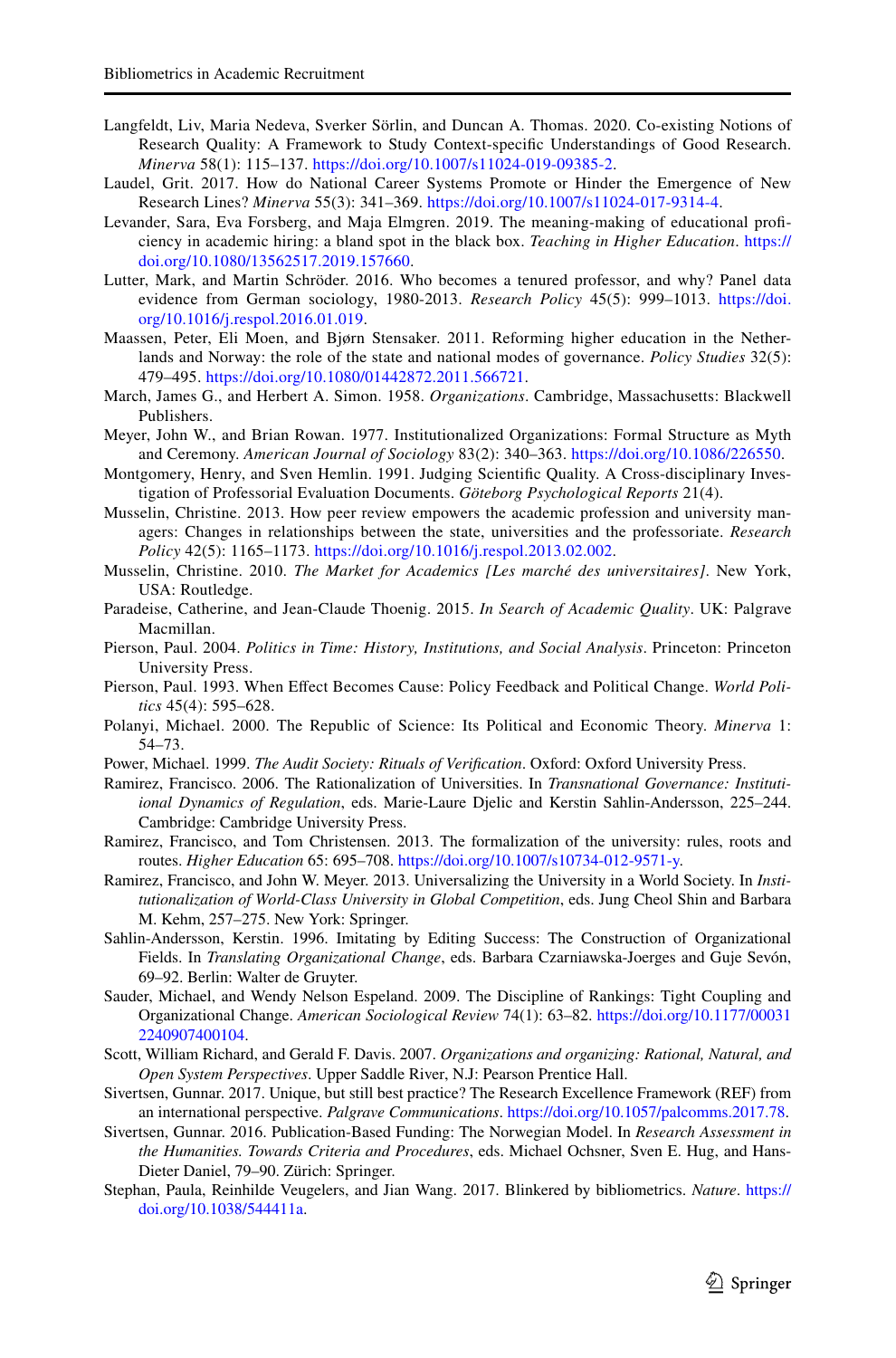- <span id="page-24-11"></span>Langfeldt, Liv, Maria Nedeva, Sverker Sörlin, and Duncan A. Thomas. 2020. Co-existing Notions of Research Quality: A Framework to Study Context-specifc Understandings of Good Research. *Minerva* 58(1): 115–137. [https://doi.org/10.1007/s11024-019-09385-2.](https://doi.org/10.1007/s11024-019-09385-2)
- <span id="page-24-23"></span>Laudel, Grit. 2017. How do National Career Systems Promote or Hinder the Emergence of New Research Lines? *Minerva* 55(3): 341–369. [https://doi.org/10.1007/s11024-017-9314-4.](https://doi.org/10.1007/s11024-017-9314-4)
- <span id="page-24-9"></span>Levander, Sara, Eva Forsberg, and Maja Elmgren. 2019. The meaning-making of educational profciency in academic hiring: a bland spot in the black box. *Teaching in Higher Education*. [https://](https://doi.org/10.1080/13562517.2019.157660) [doi.org/10.1080/13562517.2019.157660](https://doi.org/10.1080/13562517.2019.157660).
- <span id="page-24-22"></span>Lutter, Mark, and Martin Schröder. 2016. Who becomes a tenured professor, and why? Panel data evidence from German sociology, 1980-2013. *Research Policy* 45(5): 999–1013. [https://doi.](https://doi.org/10.1016/j.respol.2016.01.019) [org/10.1016/j.respol.2016.01.019](https://doi.org/10.1016/j.respol.2016.01.019).
- <span id="page-24-18"></span>Maassen, Peter, Eli Moen, and Bjørn Stensaker. 2011. Reforming higher education in the Netherlands and Norway: the role of the state and national modes of governance. *Policy Studies* 32(5): 479–495. <https://doi.org/10.1080/01442872.2011.566721>.
- <span id="page-24-20"></span>March, James G., and Herbert A. Simon. 1958. *Organizations*. Cambridge, Massachusetts: Blackwell Publishers.
- <span id="page-24-8"></span>Meyer, John W., and Brian Rowan. 1977. Institutionalized Organizations: Formal Structure as Myth and Ceremony. *American Journal of Sociology* 83(2): 340–363.<https://doi.org/10.1086/226550>.
- <span id="page-24-12"></span>Montgomery, Henry, and Sven Hemlin. 1991. Judging Scientifc Quality. A Cross-disciplinary Investigation of Professorial Evaluation Documents. *Göteborg Psychological Reports* 21(4).
- <span id="page-24-6"></span>Musselin, Christine. 2013. How peer review empowers the academic profession and university managers: Changes in relationships between the state, universities and the professoriate. *Research Policy* 42(5): 1165–1173. [https://doi.org/10.1016/j.respol.2013.02.002.](https://doi.org/10.1016/j.respol.2013.02.002)
- <span id="page-24-13"></span>Musselin, Christine. 2010. *The Market for Academics [Les marché des universitaires]*. New York, USA: Routledge.
- <span id="page-24-3"></span>Paradeise, Catherine, and Jean-Claude Thoenig. 2015. *In Search of Academic Quality*. UK: Palgrave Macmillan.
- <span id="page-24-14"></span>Pierson, Paul. 2004. *Politics in Time: History, Institutions, and Social Analysis*. Princeton: Princeton University Press.
- <span id="page-24-7"></span>Pierson, Paul. 1993. When Efect Becomes Cause: Policy Feedback and Political Change. *World Politics* 45(4): 595–628.
- <span id="page-24-10"></span>Polanyi, Michael. 2000. The Republic of Science: Its Political and Economic Theory. *Minerva* 1: 54–73.
- <span id="page-24-1"></span>Power, Michael. 1999. *The Audit Society: Rituals of Verifcation*. Oxford: Oxford University Press.
- <span id="page-24-21"></span>Ramirez, Francisco. 2006. The Rationalization of Universities. In *Transnational Governance: Institutiional Dynamics of Regulation*, eds. Marie-Laure Djelic and Kerstin Sahlin-Andersson, 225–244. Cambridge: Cambridge University Press.
- <span id="page-24-17"></span>Ramirez, Francisco, and Tom Christensen. 2013. The formalization of the university: rules, roots and routes. *Higher Education* 65: 695–708.<https://doi.org/10.1007/s10734-012-9571-y>.
- <span id="page-24-0"></span>Ramirez, Francisco, and John W. Meyer. 2013. Universalizing the University in a World Society. In *Institutionalization of World-Class University in Global Competition*, eds. Jung Cheol Shin and Barbara M. Kehm, 257–275. New York: Springer.
- <span id="page-24-16"></span>Sahlin-Andersson, Kerstin. 1996. Imitating by Editing Success: The Construction of Organizational Fields. In *Translating Organizational Change*, eds. Barbara Czarniawska-Joerges and Guje Sevón, 69–92. Berlin: Walter de Gruyter.
- <span id="page-24-2"></span>Sauder, Michael, and Wendy Nelson Espeland. 2009. The Discipline of Rankings: Tight Coupling and Organizational Change. *American Sociological Review* 74(1): 63–82. [https://doi.org/10.1177/00031](https://doi.org/10.1177/000312240907400104) [2240907400104](https://doi.org/10.1177/000312240907400104).
- <span id="page-24-15"></span>Scott, William Richard, and Gerald F. Davis. 2007. *Organizations and organizing: Rational, Natural, and Open System Perspectives*. Upper Saddle River, N.J: Pearson Prentice Hall.
- <span id="page-24-4"></span>Sivertsen, Gunnar. 2017. Unique, but still best practice? The Research Excellence Framework (REF) from an international perspective. *Palgrave Communications*.<https://doi.org/10.1057/palcomms.2017.78>.
- <span id="page-24-19"></span>Sivertsen, Gunnar. 2016. Publication-Based Funding: The Norwegian Model. In *Research Assessment in the Humanities. Towards Criteria and Procedures*, eds. Michael Ochsner, Sven E. Hug, and Hans-Dieter Daniel, 79–90. Zürich: Springer.
- <span id="page-24-5"></span>Stephan, Paula, Reinhilde Veugelers, and Jian Wang. 2017. Blinkered by bibliometrics. *Nature*. [https://](https://doi.org/10.1038/544411a) [doi.org/10.1038/544411a.](https://doi.org/10.1038/544411a)